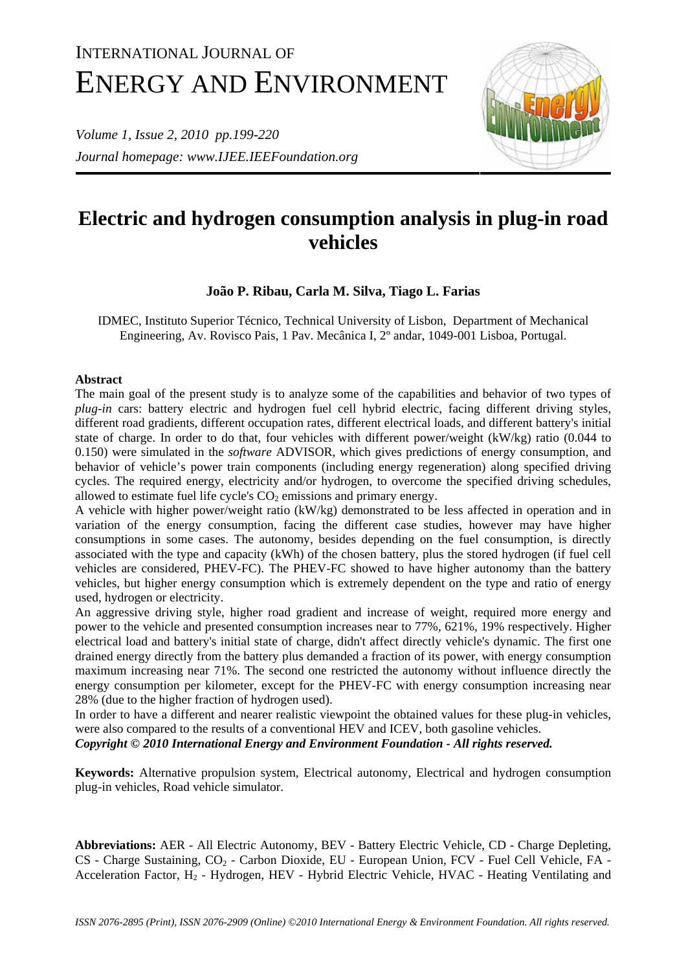# INTERNATIONAL JOURNAL OF ENERGY AND ENVIRONMENT

*Volume 1, Issue 2, 2010 pp.199-220 Journal homepage: www.IJEE.IEEFoundation.org* 



# **Electric and hydrogen consumption analysis in plug-in road vehicles**

## **João P. Ribau, Carla M. Silva, Tiago L. Farias**

IDMEC, Instituto Superior Técnico, Technical University of Lisbon, Department of Mechanical Engineering, Av. Rovisco Pais, 1 Pav. Mecânica I, 2º andar, 1049-001 Lisboa, Portugal.

### **Abstract**

The main goal of the present study is to analyze some of the capabilities and behavior of two types of *plug-in* cars: battery electric and hydrogen fuel cell hybrid electric, facing different driving styles, different road gradients, different occupation rates, different electrical loads, and different battery's initial state of charge. In order to do that, four vehicles with different power/weight (kW/kg) ratio (0.044 to 0.150) were simulated in the *software* ADVISOR, which gives predictions of energy consumption, and behavior of vehicle's power train components (including energy regeneration) along specified driving cycles. The required energy, electricity and/or hydrogen, to overcome the specified driving schedules, allowed to estimate fuel life cycle's  $CO<sub>2</sub>$  emissions and primary energy.

A vehicle with higher power/weight ratio (kW/kg) demonstrated to be less affected in operation and in variation of the energy consumption, facing the different case studies, however may have higher consumptions in some cases. The autonomy, besides depending on the fuel consumption, is directly associated with the type and capacity (kWh) of the chosen battery, plus the stored hydrogen (if fuel cell vehicles are considered, PHEV-FC). The PHEV-FC showed to have higher autonomy than the battery vehicles, but higher energy consumption which is extremely dependent on the type and ratio of energy used, hydrogen or electricity.

An aggressive driving style, higher road gradient and increase of weight, required more energy and power to the vehicle and presented consumption increases near to 77%, 621%, 19% respectively. Higher electrical load and battery's initial state of charge, didn't affect directly vehicle's dynamic. The first one drained energy directly from the battery plus demanded a fraction of its power, with energy consumption maximum increasing near 71%. The second one restricted the autonomy without influence directly the energy consumption per kilometer, except for the PHEV-FC with energy consumption increasing near 28% (due to the higher fraction of hydrogen used).

In order to have a different and nearer realistic viewpoint the obtained values for these plug-in vehicles, were also compared to the results of a conventional HEV and ICEV, both gasoline vehicles.

*Copyright © 2010 International Energy and Environment Foundation - All rights reserved.*

**Keywords:** Alternative propulsion system, Electrical autonomy, Electrical and hydrogen consumption plug-in vehicles, Road vehicle simulator.

**Abbreviations:** AER - All Electric Autonomy, BEV - Battery Electric Vehicle, CD - Charge Depleting, CS - Charge Sustaining, CO<sub>2</sub> - Carbon Dioxide, EU - European Union, FCV - Fuel Cell Vehicle, FA -Acceleration Factor, H2 - Hydrogen, HEV - Hybrid Electric Vehicle, HVAC - Heating Ventilating and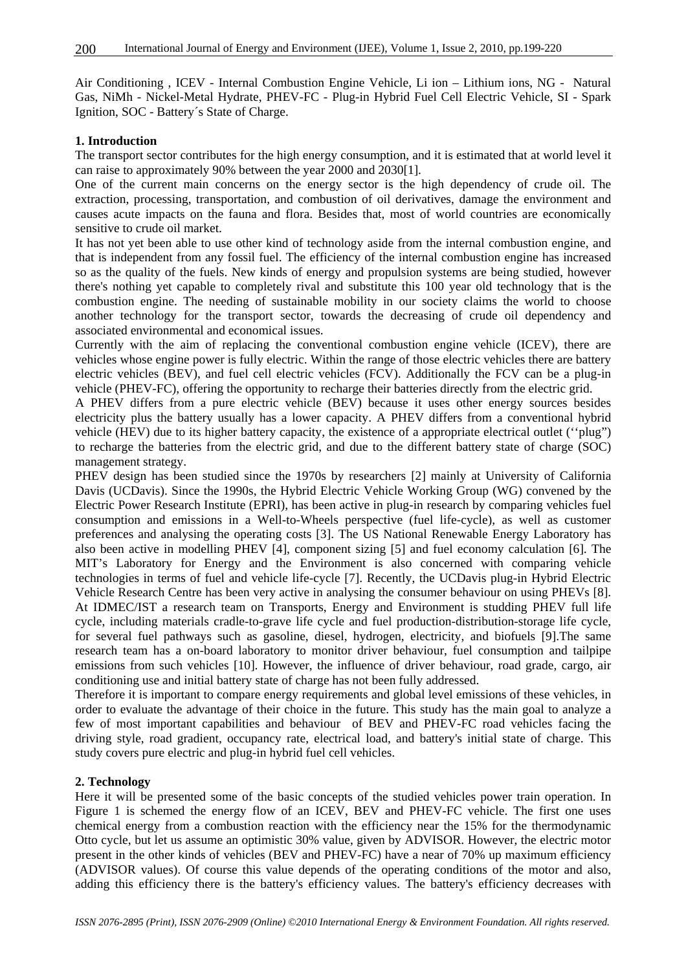Air Conditioning , ICEV - Internal Combustion Engine Vehicle, Li ion – Lithium ions, NG - Natural Gas, NiMh - Nickel-Metal Hydrate, PHEV-FC - Plug-in Hybrid Fuel Cell Electric Vehicle, SI - Spark Ignition, SOC - Battery´s State of Charge.

#### **1. Introduction**

The transport sector contributes for the high energy consumption, and it is estimated that at world level it can raise to approximately 90% between the year 2000 and 2030[1].

One of the current main concerns on the energy sector is the high dependency of crude oil. The extraction, processing, transportation, and combustion of oil derivatives, damage the environment and causes acute impacts on the fauna and flora. Besides that, most of world countries are economically sensitive to crude oil market.

It has not yet been able to use other kind of technology aside from the internal combustion engine, and that is independent from any fossil fuel. The efficiency of the internal combustion engine has increased so as the quality of the fuels. New kinds of energy and propulsion systems are being studied, however there's nothing yet capable to completely rival and substitute this 100 year old technology that is the combustion engine. The needing of sustainable mobility in our society claims the world to choose another technology for the transport sector, towards the decreasing of crude oil dependency and associated environmental and economical issues.

Currently with the aim of replacing the conventional combustion engine vehicle (ICEV), there are vehicles whose engine power is fully electric. Within the range of those electric vehicles there are battery electric vehicles (BEV), and fuel cell electric vehicles (FCV). Additionally the FCV can be a plug-in vehicle (PHEV-FC), offering the opportunity to recharge their batteries directly from the electric grid.

A PHEV differs from a pure electric vehicle (BEV) because it uses other energy sources besides electricity plus the battery usually has a lower capacity. A PHEV differs from a conventional hybrid vehicle (HEV) due to its higher battery capacity, the existence of a appropriate electrical outlet (''plug") to recharge the batteries from the electric grid, and due to the different battery state of charge (SOC) management strategy.

PHEV design has been studied since the 1970s by researchers [2] mainly at University of California Davis (UCDavis). Since the 1990s, the Hybrid Electric Vehicle Working Group (WG) convened by the Electric Power Research Institute (EPRI), has been active in plug-in research by comparing vehicles fuel consumption and emissions in a Well-to-Wheels perspective (fuel life-cycle), as well as customer preferences and analysing the operating costs [3]. The US National Renewable Energy Laboratory has also been active in modelling PHEV [4], component sizing [5] and fuel economy calculation [6]. The MIT's Laboratory for Energy and the Environment is also concerned with comparing vehicle technologies in terms of fuel and vehicle life-cycle [7]. Recently, the UCDavis plug-in Hybrid Electric Vehicle Research Centre has been very active in analysing the consumer behaviour on using PHEVs [8]. At IDMEC/IST a research team on Transports, Energy and Environment is studding PHEV full life cycle, including materials cradle-to-grave life cycle and fuel production-distribution-storage life cycle, for several fuel pathways such as gasoline, diesel, hydrogen, electricity, and biofuels [9].The same research team has a on-board laboratory to monitor driver behaviour, fuel consumption and tailpipe emissions from such vehicles [10]. However, the influence of driver behaviour, road grade, cargo, air conditioning use and initial battery state of charge has not been fully addressed.

Therefore it is important to compare energy requirements and global level emissions of these vehicles, in order to evaluate the advantage of their choice in the future. This study has the main goal to analyze a few of most important capabilities and behaviour of BEV and PHEV-FC road vehicles facing the driving style, road gradient, occupancy rate, electrical load, and battery's initial state of charge. This study covers pure electric and plug-in hybrid fuel cell vehicles.

#### **2. Technology**

Here it will be presented some of the basic concepts of the studied vehicles power train operation. In Figure 1 is schemed the energy flow of an ICEV, BEV and PHEV-FC vehicle. The first one uses chemical energy from a combustion reaction with the efficiency near the 15% for the thermodynamic Otto cycle, but let us assume an optimistic 30% value, given by ADVISOR. However, the electric motor present in the other kinds of vehicles (BEV and PHEV-FC) have a near of 70% up maximum efficiency (ADVISOR values). Of course this value depends of the operating conditions of the motor and also, adding this efficiency there is the battery's efficiency values. The battery's efficiency decreases with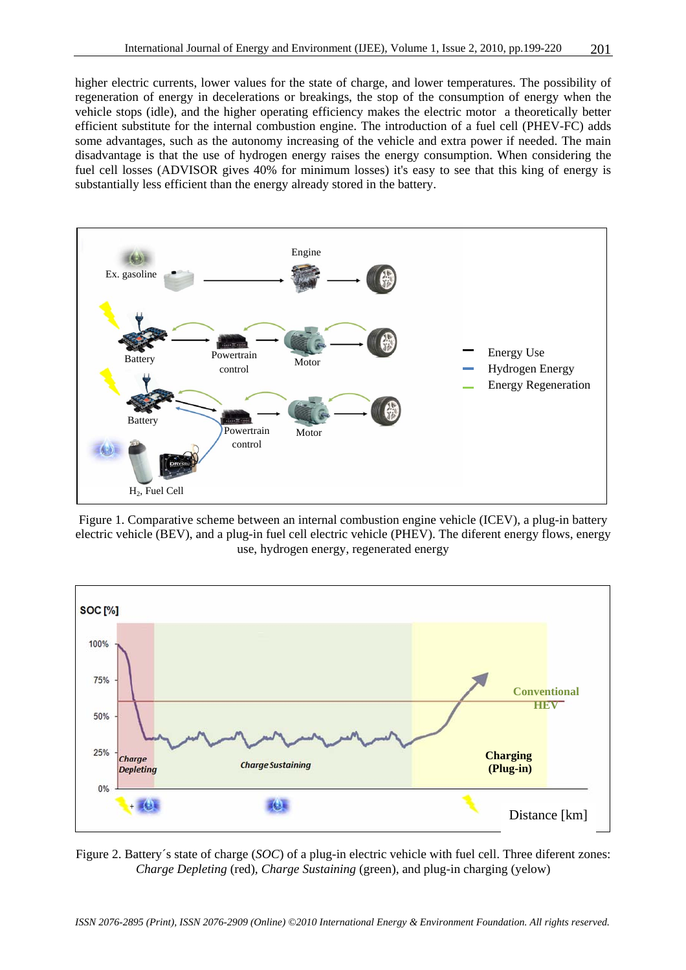higher electric currents, lower values for the state of charge, and lower temperatures. The possibility of regeneration of energy in decelerations or breakings, the stop of the consumption of energy when the vehicle stops (idle), and the higher operating efficiency makes the electric motor a theoretically better efficient substitute for the internal combustion engine. The introduction of a fuel cell (PHEV-FC) adds some advantages, such as the autonomy increasing of the vehicle and extra power if needed. The main disadvantage is that the use of hydrogen energy raises the energy consumption. When considering the fuel cell losses (ADVISOR gives 40% for minimum losses) it's easy to see that this king of energy is substantially less efficient than the energy already stored in the battery.



Figure 1. Comparative scheme between an internal combustion engine vehicle (ICEV), a plug-in battery electric vehicle (BEV), and a plug-in fuel cell electric vehicle (PHEV). The diferent energy flows, energy use, hydrogen energy, regenerated energy



Figure 2. Battery´s state of charge (*SOC*) of a plug-in electric vehicle with fuel cell. Three diferent zones: *Charge Depleting* (red)*, Charge Sustaining* (green), and plug-in charging (yelow)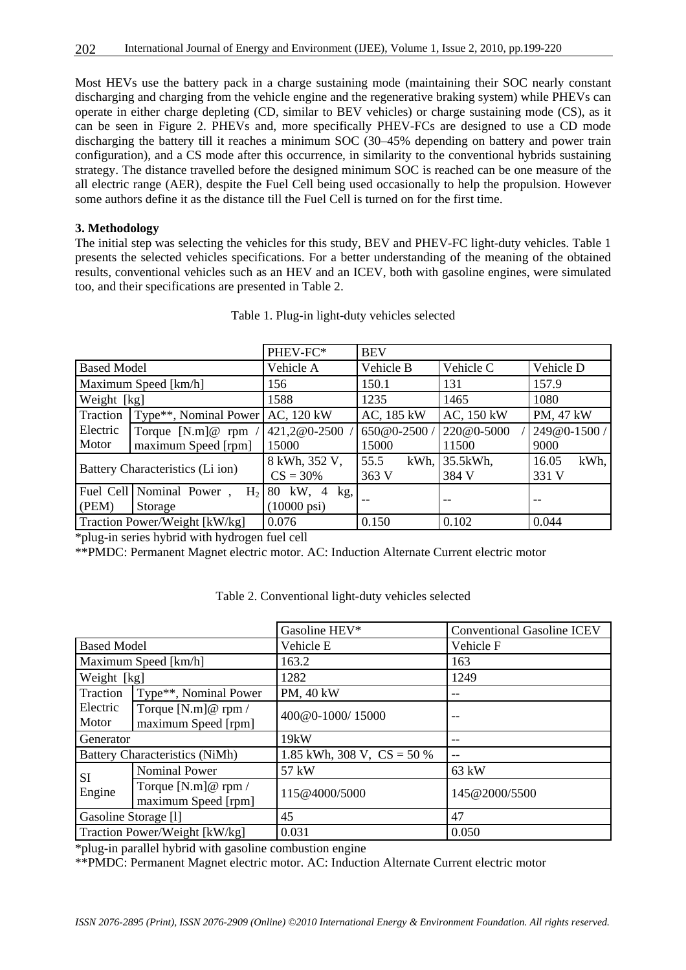Most HEVs use the battery pack in a charge sustaining mode (maintaining their SOC nearly constant discharging and charging from the vehicle engine and the regenerative braking system) while PHEVs can operate in either charge depleting (CD, similar to BEV vehicles) or charge sustaining mode (CS), as it can be seen in Figure 2. PHEVs and, more specifically PHEV-FCs are designed to use a CD mode discharging the battery till it reaches a minimum SOC (30–45% depending on battery and power train configuration), and a CS mode after this occurrence, in similarity to the conventional hybrids sustaining strategy. The distance travelled before the designed minimum SOC is reached can be one measure of the all electric range (AER), despite the Fuel Cell being used occasionally to help the propulsion. However some authors define it as the distance till the Fuel Cell is turned on for the first time.

#### **3. Methodology**

The initial step was selecting the vehicles for this study, BEV and PHEV-FC light-duty vehicles. Table 1 presents the selected vehicles specifications. For a better understanding of the meaning of the obtained results, conventional vehicles such as an HEV and an ICEV, both with gasoline engines, were simulated too, and their specifications are presented in Table 2.

|                                  |                                            | PHEV-FC*               | <b>BEV</b>   |            |               |  |
|----------------------------------|--------------------------------------------|------------------------|--------------|------------|---------------|--|
| <b>Based Model</b>               |                                            | Vehicle A              | Vehicle B    | Vehicle C  | Vehicle D     |  |
| Maximum Speed [km/h]             |                                            | 156                    | 150.1        | 131        | 157.9         |  |
| Weight [kg]                      |                                            | 1588                   | 1235         | 1465       | 1080          |  |
| Traction                         | Type**, Nominal Power                      | AC, 120 kW             | AC, 185 kW   | AC, 150 kW | PM, 47 kW     |  |
| Electric                         | Torque $[N.m]$ ( $\emptyset$ rpm           | 421,2@0-2500           | 650@0-2500/  | 220@0-5000 | 249@0-1500/   |  |
| Motor                            | maximum Speed [rpm]                        | 15000                  | 15000        | 11500      | 9000          |  |
|                                  |                                            | 8 kWh, 352 V,          | 55.5<br>kWh, | 35.5kWh,   | kWh,<br>16.05 |  |
| Battery Characteristics (Li ion) |                                            | $CS = 30\%$            | 363 V        | 384 V      | 331 V         |  |
|                                  | Fuel Cell Nominal Power,<br>H <sub>2</sub> | 80 kW, 4<br>kg,        |              |            |               |  |
| (PEM)                            | Storage                                    | $(10000 \,\text{psi})$ |              |            |               |  |
|                                  | Traction Power/Weight [kW/kg]              | 0.076                  | 0.150        | 0.102      | 0.044         |  |

\*plug-in series hybrid with hydrogen fuel cell

\*\*PMDC: Permanent Magnet electric motor. AC: Induction Alternate Current electric motor

|                                                                   |                                            | Gasoline HEV*                | <b>Conventional Gasoline ICEV</b> |  |
|-------------------------------------------------------------------|--------------------------------------------|------------------------------|-----------------------------------|--|
| <b>Based Model</b>                                                |                                            | Vehicle E                    | Vehicle F                         |  |
| Maximum Speed [km/h]                                              |                                            | 163.2                        | 163                               |  |
| Weight [kg]                                                       |                                            | 1282                         | 1249                              |  |
| Traction                                                          | Type**, Nominal Power                      | PM, 40 kW                    |                                   |  |
| Electric<br>Motor                                                 | Torque $[N.m]@rpm/$<br>maximum Speed [rpm] | 400@0-1000/15000             |                                   |  |
| Generator                                                         |                                            | 19kW                         |                                   |  |
|                                                                   | <b>Battery Characteristics (NiMh)</b>      | 1.85 kWh, 308 V, $CS = 50\%$ | --                                |  |
|                                                                   | <b>Nominal Power</b>                       | 57 kW                        | 63 kW                             |  |
| <b>SI</b><br>Torque $[N.m]@rpm/$<br>Engine<br>maximum Speed [rpm] |                                            | 115@4000/5000                | 145@2000/5500                     |  |
|                                                                   |                                            |                              |                                   |  |
| Gasoline Storage [1]                                              |                                            | 45                           | 47                                |  |

Table 2. Conventional light-duty vehicles selected

\*plug-in parallel hybrid with gasoline combustion engine

\*\*PMDC: Permanent Magnet electric motor. AC: Induction Alternate Current electric motor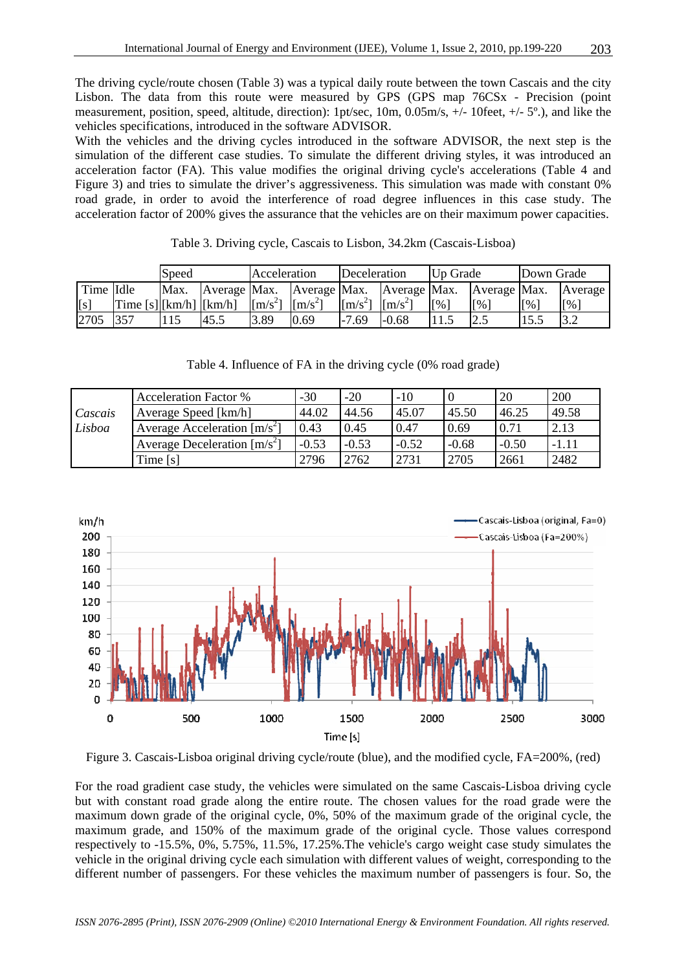The driving cycle/route chosen (Table 3) was a typical daily route between the town Cascais and the city Lisbon. The data from this route were measured by GPS (GPS map 76CSx - Precision (point measurement, position, speed, altitude, direction): 1pt/sec, 10m, 0.05m/s, +/- 10feet, +/- 5º.), and like the vehicles specifications, introduced in the software ADVISOR.

With the vehicles and the driving cycles introduced in the software ADVISOR, the next step is the simulation of the different case studies. To simulate the different driving styles, it was introduced an acceleration factor (FA). This value modifies the original driving cycle's accelerations (Table 4 and Figure 3) and tries to simulate the driver's aggressiveness. This simulation was made with constant 0% road grade, in order to avoid the interference of road degree influences in this case study. The acceleration factor of 200% gives the assurance that the vehicles are on their maximum power capacities.

|           |                     | Speed |      | Acceleration                |                                        | Deceleration                |                       | Up Grade                    |                             | Down Grade |          |
|-----------|---------------------|-------|------|-----------------------------|----------------------------------------|-----------------------------|-----------------------|-----------------------------|-----------------------------|------------|----------|
| Time Idle |                     | Max.  |      |                             | Average Max. Average Max. Average Max. |                             |                       |                             | Average Max.                |            | Average  |
| [s]       | Time[s][km/h][km/h] |       |      | $\left[\text{m/s}^2\right]$ | $\mathrm{Im/s}^{2}$                    | $\left[\text{m/s}^2\right]$ | $\lceil m/s^2 \rceil$ | $\lceil \frac{9}{6} \rceil$ | $\lceil \frac{9}{6} \rceil$ | [%]        | [%]      |
| 2705      | 357                 |       | 45.5 | 3.89                        | 0.69                                   | $-7.69$                     | $-0.68$               |                             | 12.5                        | 15.5       | $\Omega$ |

Table 4. Influence of FA in the driving cycle (0% road grade)

Acceleration Factor % -30 -20 -10 0 20 200

| Table 3. Driving cycle, Cascais to Lisbon, 34.2km (Cascais-Lisboa) |
|--------------------------------------------------------------------|
|--------------------------------------------------------------------|

| Cascais | Average Speed [km/h]           | 44.02   | 44.56   | 45.07   | 45.50   | 46.25   | 49.58   |
|---------|--------------------------------|---------|---------|---------|---------|---------|---------|
| Lisboa  | Average Acceleration $[m/s^2]$ | 0.43    | 0.45    | 0.47    | 0.69    | 0.71    | 2.13    |
|         | Average Deceleration $[m/s^2]$ | $-0.53$ | $-0.53$ | $-0.52$ | $-0.68$ | $-0.50$ | $-1.11$ |
|         | Time $[s]$                     | 2796    | 2762    | 2731    | 2705    | 2661    | 2482    |
|         |                                |         |         |         |         |         |         |



Figure 3. Cascais-Lisboa original driving cycle/route (blue), and the modified cycle, FA=200%, (red)

For the road gradient case study, the vehicles were simulated on the same Cascais-Lisboa driving cycle but with constant road grade along the entire route. The chosen values for the road grade were the maximum down grade of the original cycle, 0%, 50% of the maximum grade of the original cycle, the maximum grade, and 150% of the maximum grade of the original cycle. Those values correspond respectively to -15.5%, 0%, 5.75%, 11.5%, 17.25%.The vehicle's cargo weight case study simulates the vehicle in the original driving cycle each simulation with different values of weight, corresponding to the different number of passengers. For these vehicles the maximum number of passengers is four. So, the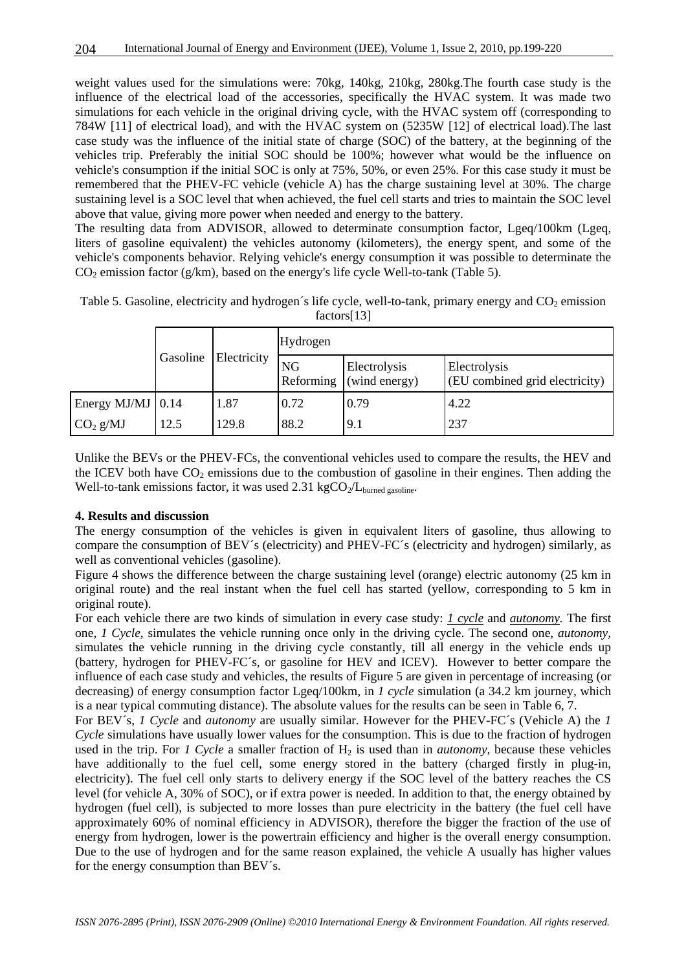weight values used for the simulations were: 70kg, 140kg, 210kg, 280kg.The fourth case study is the influence of the electrical load of the accessories, specifically the HVAC system. It was made two simulations for each vehicle in the original driving cycle, with the HVAC system off (corresponding to 784W [11] of electrical load), and with the HVAC system on (5235W [12] of electrical load).The last case study was the influence of the initial state of charge (SOC) of the battery, at the beginning of the vehicles trip. Preferably the initial SOC should be 100%; however what would be the influence on vehicle's consumption if the initial SOC is only at 75%, 50%, or even 25%. For this case study it must be remembered that the PHEV-FC vehicle (vehicle A) has the charge sustaining level at 30%. The charge sustaining level is a SOC level that when achieved, the fuel cell starts and tries to maintain the SOC level above that value, giving more power when needed and energy to the battery.

The resulting data from ADVISOR, allowed to determinate consumption factor, Lgeq/100km (Lgeq, liters of gasoline equivalent) the vehicles autonomy (kilometers), the energy spent, and some of the vehicle's components behavior. Relying vehicle's energy consumption it was possible to determinate the  $CO<sub>2</sub>$  emission factor (g/km), based on the energy's life cycle Well-to-tank (Table 5).

Table 5. Gasoline, electricity and hydrogen's life cycle, well-to-tank, primary energy and  $CO<sub>2</sub>$  emission factors[13]

|                           |      | Gasoline Electricity | Hydrogen               |                               |                                                |  |  |  |
|---------------------------|------|----------------------|------------------------|-------------------------------|------------------------------------------------|--|--|--|
|                           |      |                      | <b>NG</b><br>Reforming | Electrolysis<br>(wind energy) | Electrolysis<br>(EU combined grid electricity) |  |  |  |
| Energy MJ/MJ $\vert$ 0.14 |      | 1.87                 | 0.72                   | 0.79                          | 4.22                                           |  |  |  |
| CO <sub>2</sub> g/MJ      | 12.5 | 129.8                | 88.2                   | 9.1                           | 237                                            |  |  |  |

Unlike the BEVs or the PHEV-FCs, the conventional vehicles used to compare the results, the HEV and the ICEV both have  $CO_2$  emissions due to the combustion of gasoline in their engines. Then adding the Well-to-tank emissions factor, it was used  $2.31 \text{ kgCO}_{2}/L_{\text{burned gasoline}}$ .

#### **4. Results and discussion**

The energy consumption of the vehicles is given in equivalent liters of gasoline, thus allowing to compare the consumption of BEV´s (electricity) and PHEV-FC´s (electricity and hydrogen) similarly, as well as conventional vehicles (gasoline).

Figure 4 shows the difference between the charge sustaining level (orange) electric autonomy (25 km in original route) and the real instant when the fuel cell has started (yellow, corresponding to 5 km in original route).

For each vehicle there are two kinds of simulation in every case study: *1 cycle* and *autonomy.* The first one, *1 Cycle*, simulates the vehicle running once only in the driving cycle. The second one, *autonomy,* simulates the vehicle running in the driving cycle constantly, till all energy in the vehicle ends up (battery, hydrogen for PHEV-FC´s, or gasoline for HEV and ICEV). However to better compare the influence of each case study and vehicles, the results of Figure 5 are given in percentage of increasing (or decreasing) of energy consumption factor Lgeq/100km, in *1 cycle* simulation (a 34.2 km journey, which is a near typical commuting distance). The absolute values for the results can be seen in Table 6, 7.

For BEV´s, *1 Cycle* and *autonomy* are usually similar. However for the PHEV-FC´s (Vehicle A) the *1 Cycle* simulations have usually lower values for the consumption. This is due to the fraction of hydrogen used in the trip. For *1 Cycle* a smaller fraction of  $H_2$  is used than in *autonomy*, because these vehicles have additionally to the fuel cell, some energy stored in the battery (charged firstly in plug-in, electricity). The fuel cell only starts to delivery energy if the SOC level of the battery reaches the CS level (for vehicle A, 30% of SOC), or if extra power is needed. In addition to that, the energy obtained by hydrogen (fuel cell), is subjected to more losses than pure electricity in the battery (the fuel cell have approximately 60% of nominal efficiency in ADVISOR), therefore the bigger the fraction of the use of energy from hydrogen, lower is the powertrain efficiency and higher is the overall energy consumption. Due to the use of hydrogen and for the same reason explained, the vehicle A usually has higher values for the energy consumption than BEV´s.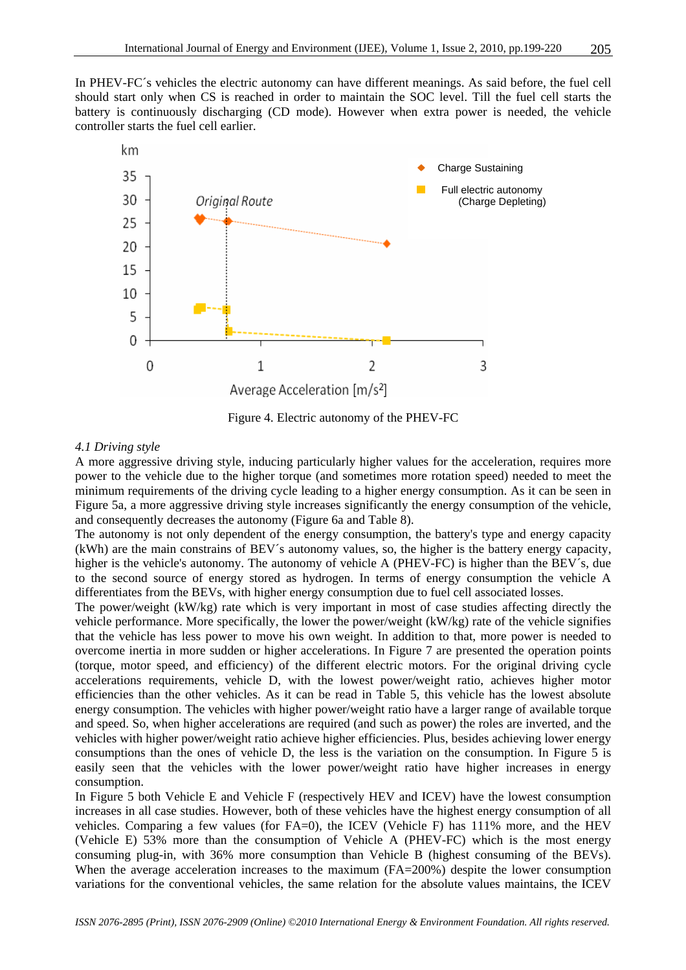In PHEV-FC´s vehicles the electric autonomy can have different meanings. As said before, the fuel cell should start only when CS is reached in order to maintain the SOC level. Till the fuel cell starts the battery is continuously discharging (CD mode). However when extra power is needed, the vehicle controller starts the fuel cell earlier.



Figure 4. Electric autonomy of the PHEV-FC

#### *4.1 Driving style*

A more aggressive driving style, inducing particularly higher values for the acceleration, requires more power to the vehicle due to the higher torque (and sometimes more rotation speed) needed to meet the minimum requirements of the driving cycle leading to a higher energy consumption. As it can be seen in Figure 5a, a more aggressive driving style increases significantly the energy consumption of the vehicle, and consequently decreases the autonomy (Figure 6a and Table 8).

The autonomy is not only dependent of the energy consumption, the battery's type and energy capacity (kWh) are the main constrains of BEV´s autonomy values, so, the higher is the battery energy capacity, higher is the vehicle's autonomy. The autonomy of vehicle A (PHEV-FC) is higher than the BEV's, due to the second source of energy stored as hydrogen. In terms of energy consumption the vehicle A differentiates from the BEVs, with higher energy consumption due to fuel cell associated losses.

The power/weight (kW/kg) rate which is very important in most of case studies affecting directly the vehicle performance. More specifically, the lower the power/weight (kW/kg) rate of the vehicle signifies that the vehicle has less power to move his own weight. In addition to that, more power is needed to overcome inertia in more sudden or higher accelerations. In Figure 7 are presented the operation points (torque, motor speed, and efficiency) of the different electric motors. For the original driving cycle accelerations requirements, vehicle D, with the lowest power/weight ratio, achieves higher motor efficiencies than the other vehicles. As it can be read in Table 5, this vehicle has the lowest absolute energy consumption. The vehicles with higher power/weight ratio have a larger range of available torque and speed. So, when higher accelerations are required (and such as power) the roles are inverted, and the vehicles with higher power/weight ratio achieve higher efficiencies. Plus, besides achieving lower energy consumptions than the ones of vehicle D, the less is the variation on the consumption. In Figure 5 is easily seen that the vehicles with the lower power/weight ratio have higher increases in energy consumption.

In Figure 5 both Vehicle E and Vehicle F (respectively HEV and ICEV) have the lowest consumption increases in all case studies. However, both of these vehicles have the highest energy consumption of all vehicles. Comparing a few values (for FA=0), the ICEV (Vehicle F) has 111% more, and the HEV (Vehicle E) 53% more than the consumption of Vehicle A (PHEV-FC) which is the most energy consuming plug-in, with 36% more consumption than Vehicle B (highest consuming of the BEVs). When the average acceleration increases to the maximum (FA=200%) despite the lower consumption variations for the conventional vehicles, the same relation for the absolute values maintains, the ICEV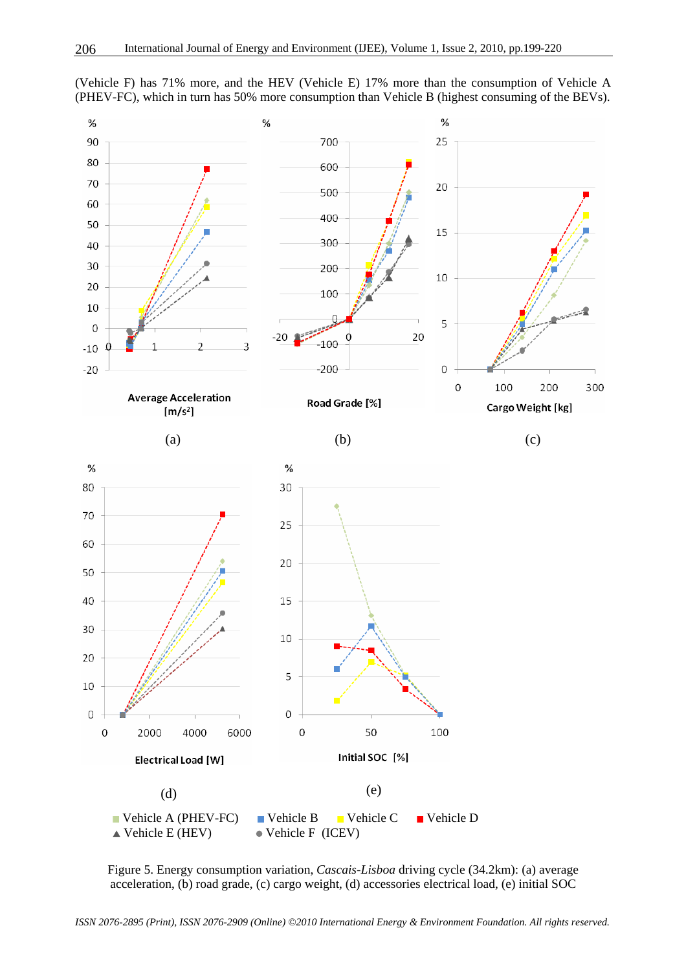

(Vehicle F) has 71% more, and the HEV (Vehicle E) 17% more than the consumption of Vehicle A (PHEV-FC), which in turn has 50% more consumption than Vehicle B (highest consuming of the BEVs).

Figure 5. Energy consumption variation, *Cascais-Lisboa* driving cycle (34.2km): (a) average acceleration, (b) road grade, (c) cargo weight, (d) accessories electrical load, (e) initial SOC

*ISSN 2076-2895 (Print), ISSN 2076-2909 (Online) ©2010 International Energy & Environment Foundation. All rights reserved.*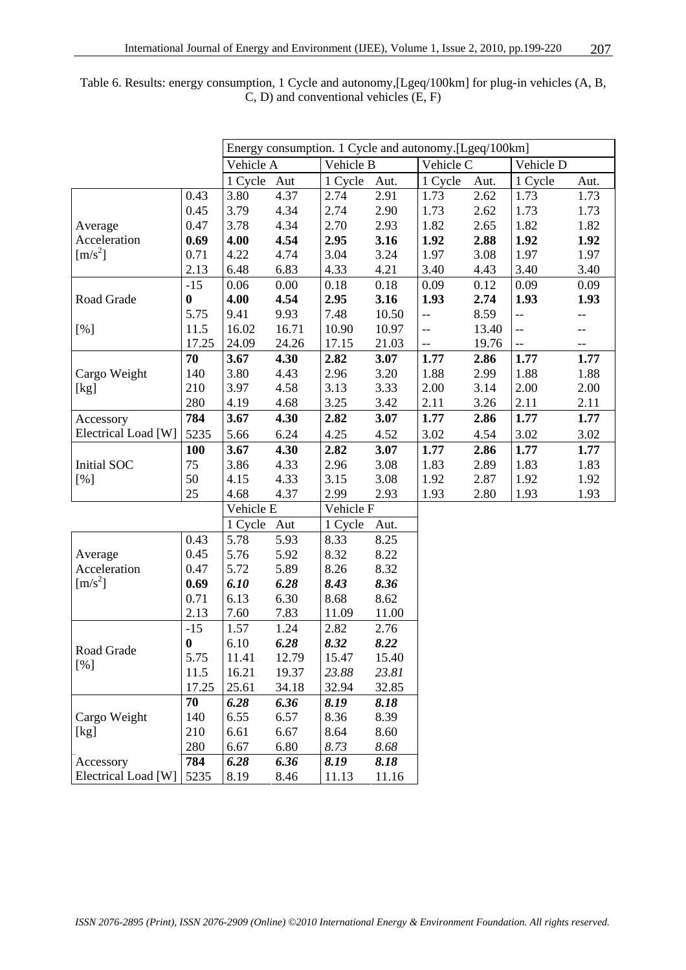|                     |          | Energy consumption. 1 Cycle and autonomy.[Lgeq/100km] |       |           |       |                |       |                |      |
|---------------------|----------|-------------------------------------------------------|-------|-----------|-------|----------------|-------|----------------|------|
|                     |          | Vehicle A                                             |       | Vehicle B |       | Vehicle C      |       | Vehicle D      |      |
|                     |          | 1 Cycle                                               | Aut   | 1 Cycle   | Aut.  | 1 Cycle        | Aut.  | 1 Cycle        | Aut. |
|                     | 0.43     | 3.80                                                  | 4.37  | 2.74      | 2.91  | 1.73           | 2.62  | 1.73           | 1.73 |
|                     | 0.45     | 3.79                                                  | 4.34  | 2.74      | 2.90  | 1.73           | 2.62  | 1.73           | 1.73 |
| Average             | 0.47     | 3.78                                                  | 4.34  | 2.70      | 2.93  | 1.82           | 2.65  | 1.82           | 1.82 |
| Acceleration        | 0.69     | 4.00                                                  | 4.54  | 2.95      | 3.16  | 1.92           | 2.88  | 1.92           | 1.92 |
| $[m/s^2]$           | 0.71     | 4.22                                                  | 4.74  | 3.04      | 3.24  | 1.97           | 3.08  | 1.97           | 1.97 |
|                     | 2.13     | 6.48                                                  | 6.83  | 4.33      | 4.21  | 3.40           | 4.43  | 3.40           | 3.40 |
|                     | $-15$    | 0.06                                                  | 0.00  | 0.18      | 0.18  | 0.09           | 0.12  | 0.09           | 0.09 |
| Road Grade          | $\bf{0}$ | 4.00                                                  | 4.54  | 2.95      | 3.16  | 1.93           | 2.74  | 1.93           | 1.93 |
|                     | 5.75     | 9.41                                                  | 9.93  | 7.48      | 10.50 | $\overline{a}$ | 8.59  | $-$            |      |
| [%]                 | 11.5     | 16.02                                                 | 16.71 | 10.90     | 10.97 | $\overline{a}$ | 13.40 | $\overline{a}$ | --   |
|                     | 17.25    | 24.09                                                 | 24.26 | 17.15     | 21.03 | $-$            | 19.76 | $\overline{a}$ | --   |
|                     | 70       | 3.67                                                  | 4.30  | 2.82      | 3.07  | 1.77           | 2.86  | 1.77           | 1.77 |
| Cargo Weight        | 140      | 3.80                                                  | 4.43  | 2.96      | 3.20  | 1.88           | 2.99  | 1.88           | 1.88 |
| [kg]                | 210      | 3.97                                                  | 4.58  | 3.13      | 3.33  | 2.00           | 3.14  | 2.00           | 2.00 |
|                     | 280      | 4.19                                                  | 4.68  | 3.25      | 3.42  | 2.11           | 3.26  | 2.11           | 2.11 |
| Accessory           | 784      | 3.67                                                  | 4.30  | 2.82      | 3.07  | 1.77           | 2.86  | 1.77           | 1.77 |
| Electrical Load [W] | 5235     | 5.66                                                  | 6.24  | 4.25      | 4.52  | 3.02           | 4.54  | 3.02           | 3.02 |
|                     | 100      | 3.67                                                  | 4.30  | 2.82      | 3.07  | 1.77           | 2.86  | 1.77           | 1.77 |
| Initial SOC         | 75       | 3.86                                                  | 4.33  | 2.96      | 3.08  | 1.83           | 2.89  | 1.83           | 1.83 |
| [%]                 | 50       | 4.15                                                  | 4.33  | 3.15      | 3.08  | 1.92           | 2.87  | 1.92           | 1.92 |
|                     | 25       | 4.68                                                  | 4.37  | 2.99      | 2.93  | 1.93           | 2.80  | 1.93           | 1.93 |
|                     |          | Vehicle E                                             |       | Vehicle F |       |                |       |                |      |
|                     |          | 1 Cycle                                               | Aut   | 1 Cycle   | Aut.  |                |       |                |      |
|                     | 0.43     | 5.78                                                  | 5.93  | 8.33      | 8.25  |                |       |                |      |
| Average             | 0.45     | 5.76                                                  | 5.92  | 8.32      | 8.22  |                |       |                |      |
| Acceleration        | 0.47     | 5.72                                                  | 5.89  | 8.26      | 8.32  |                |       |                |      |
| $[m/s^2]$           | 0.69     | 6.10                                                  | 6.28  | 8.43      | 8.36  |                |       |                |      |
|                     | 0.71     | 6.13                                                  | 6.30  | 8.68      | 8.62  |                |       |                |      |
|                     | 2.13     | 7.60                                                  | 7.83  | 11.09     | 11.00 |                |       |                |      |
|                     | $-15$    | 1.57                                                  | 1.24  | 2.82      | 2.76  |                |       |                |      |
| Road Grade          | $\bf{0}$ | 6.10                                                  | 6.28  | 8.32      | 8.22  |                |       |                |      |
| [%]                 | 5.75     | 11.41                                                 | 12.79 | 15.47     | 15.40 |                |       |                |      |
|                     | 11.5     | 16.21                                                 | 19.37 | 23.88     | 23.81 |                |       |                |      |
|                     | 17.25    | 25.61                                                 | 34.18 | 32.94     | 32.85 |                |       |                |      |
|                     | 70       | 6.28                                                  | 6.36  | 8.19      | 8.18  |                |       |                |      |
| Cargo Weight        | 140      | 6.55                                                  | 6.57  | 8.36      | 8.39  |                |       |                |      |
| [kg]                | 210      | 6.61                                                  | 6.67  | 8.64      | 8.60  |                |       |                |      |
|                     | 280      | 6.67                                                  | 6.80  | 8.73      | 8.68  |                |       |                |      |
| Accessory           | 784      | 6.28                                                  | 6.36  | 8.19      | 8.18  |                |       |                |      |
| Electrical Load [W] | 5235     | 8.19                                                  | 8.46  | 11.13     | 11.16 |                |       |                |      |

Table 6. Results: energy consumption, 1 Cycle and autonomy,[Lgeq/100km] for plug-in vehicles (A, B, C, D) and conventional vehicles (E, F)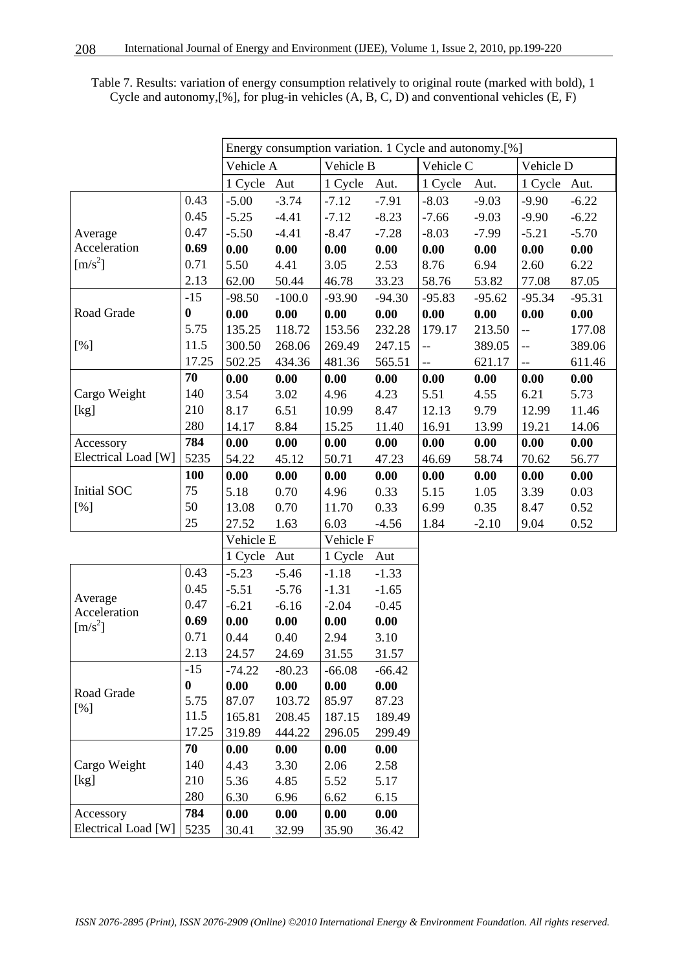| Energy consumption variation. 1 Cycle and autonomy.[%] |                  |           |          |           |          |                          |          |                           |          |
|--------------------------------------------------------|------------------|-----------|----------|-----------|----------|--------------------------|----------|---------------------------|----------|
|                                                        |                  | Vehicle A |          | Vehicle B |          | Vehicle C                |          | Vehicle D                 |          |
|                                                        |                  | 1 Cycle   | Aut      | 1 Cycle   | Aut.     | 1 Cycle                  | Aut.     | 1 Cycle                   | Aut.     |
|                                                        | 0.43             | $-5.00$   | $-3.74$  | $-7.12$   | $-7.91$  | $-8.03$                  | $-9.03$  | $-9.90$                   | $-6.22$  |
|                                                        | 0.45             | $-5.25$   | $-4.41$  | $-7.12$   | $-8.23$  | $-7.66$                  | $-9.03$  | $-9.90$                   | $-6.22$  |
| Average                                                | 0.47             | $-5.50$   | $-4.41$  | $-8.47$   | $-7.28$  | $-8.03$                  | $-7.99$  | $-5.21$                   | $-5.70$  |
| Acceleration                                           | 0.69             | 0.00      | 0.00     | 0.00      | 0.00     | 0.00                     | 0.00     | 0.00                      | 0.00     |
| $[m/s^2]$                                              | 0.71             | 5.50      | 4.41     | 3.05      | 2.53     | 8.76                     | 6.94     | 2.60                      | 6.22     |
|                                                        | 2.13             | 62.00     | 50.44    | 46.78     | 33.23    | 58.76                    | 53.82    | 77.08                     | 87.05    |
|                                                        | $-15$            | $-98.50$  | $-100.0$ | $-93.90$  | $-94.30$ | $-95.83$                 | $-95.62$ | $-95.34$                  | $-95.31$ |
| Road Grade                                             | $\bf{0}$         | 0.00      | 0.00     | 0.00      | 0.00     | 0.00                     | 0.00     | 0.00                      | 0.00     |
|                                                        | 5.75             | 135.25    | 118.72   | 153.56    | 232.28   | 179.17                   | 213.50   | $\overline{\phantom{a}}$  | 177.08   |
| [%]                                                    | 11.5             | 300.50    | 268.06   | 269.49    | 247.15   | --                       | 389.05   | $\overline{a}$            | 389.06   |
|                                                        | 17.25            | 502.25    | 434.36   | 481.36    | 565.51   | $\overline{\phantom{a}}$ | 621.17   | $\mathbb{H}^{\mathbb{Z}}$ | 611.46   |
|                                                        | 70               | 0.00      | 0.00     | 0.00      | 0.00     | 0.00                     | 0.00     | 0.00                      | 0.00     |
| Cargo Weight                                           | 140              | 3.54      | 3.02     | 4.96      | 4.23     | 5.51                     | 4.55     | 6.21                      | 5.73     |
| [kg]                                                   | 210              | 8.17      | 6.51     | 10.99     | 8.47     | 12.13                    | 9.79     | 12.99                     | 11.46    |
|                                                        | 280              | 14.17     | 8.84     | 15.25     | 11.40    | 16.91                    | 13.99    | 19.21                     | 14.06    |
| Accessory                                              | 784              | 0.00      | 0.00     | 0.00      | 0.00     | 0.00                     | 0.00     | 0.00                      | 0.00     |
| Electrical Load [W]                                    | 5235             | 54.22     | 45.12    | 50.71     | 47.23    | 46.69                    | 58.74    | 70.62                     | 56.77    |
|                                                        | 100              | 0.00      | 0.00     | 0.00      | 0.00     | 0.00                     | 0.00     | 0.00                      | 0.00     |
| Initial SOC                                            | 75               | 5.18      | 0.70     | 4.96      | 0.33     | 5.15                     | 1.05     | 3.39                      | 0.03     |
| [%]                                                    | 50               | 13.08     | 0.70     | 11.70     | 0.33     | 6.99                     | 0.35     | 8.47                      | 0.52     |
|                                                        | 25               | 27.52     | 1.63     | 6.03      | $-4.56$  | 1.84                     | $-2.10$  | 9.04                      | 0.52     |
|                                                        |                  | Vehicle E |          | Vehicle F |          |                          |          |                           |          |
|                                                        |                  | 1 Cycle   | Aut      | 1 Cycle   | Aut      |                          |          |                           |          |
|                                                        | 0.43             | $-5.23$   | $-5.46$  | $-1.18$   | $-1.33$  |                          |          |                           |          |
|                                                        | 0.45             | $-5.51$   | $-5.76$  | $-1.31$   | $-1.65$  |                          |          |                           |          |
| Average<br>Acceleration                                | 0.47             | $-6.21$   | $-6.16$  | $-2.04$   | $-0.45$  |                          |          |                           |          |
| $[m/s^2]$                                              | 0.69             | 0.00      | 0.00     | 0.00      | 0.00     |                          |          |                           |          |
|                                                        | 0.71             | 0.44      | 0.40     | 2.94      | 3.10     |                          |          |                           |          |
|                                                        | 2.13             | 24.57     | 24.69    | 31.55     | 31.57    |                          |          |                           |          |
|                                                        | $-15$            | $-74.22$  | $-80.23$ | $-66.08$  | $-66.42$ |                          |          |                           |          |
| Road Grade                                             | $\boldsymbol{0}$ | 0.00      | 0.00     | 0.00      | 0.00     |                          |          |                           |          |
| [%]                                                    | 5.75             | 87.07     | 103.72   | 85.97     | 87.23    |                          |          |                           |          |
|                                                        | 11.5             | 165.81    | 208.45   | 187.15    | 189.49   |                          |          |                           |          |
|                                                        | 17.25            | 319.89    | 444.22   | 296.05    | 299.49   |                          |          |                           |          |
|                                                        | 70               | 0.00      | 0.00     | 0.00      | 0.00     |                          |          |                           |          |
| Cargo Weight                                           | 140              | 4.43      | 3.30     | 2.06      | 2.58     |                          |          |                           |          |
| [kg]                                                   | 210              | 5.36      | 4.85     | 5.52      | 5.17     |                          |          |                           |          |
|                                                        | 280              | 6.30      | 6.96     | 6.62      | 6.15     |                          |          |                           |          |
| Accessory                                              | 784              | 0.00      | 0.00     | 0.00      | 0.00     |                          |          |                           |          |
| Electrical Load [W]                                    | 5235             | 30.41     | 32.99    | 35.90     | 36.42    |                          |          |                           |          |

Table 7. Results: variation of energy consumption relatively to original route (marked with bold), 1 Cycle and autonomy,[%], for plug-in vehicles (A, B, C, D) and conventional vehicles (E, F)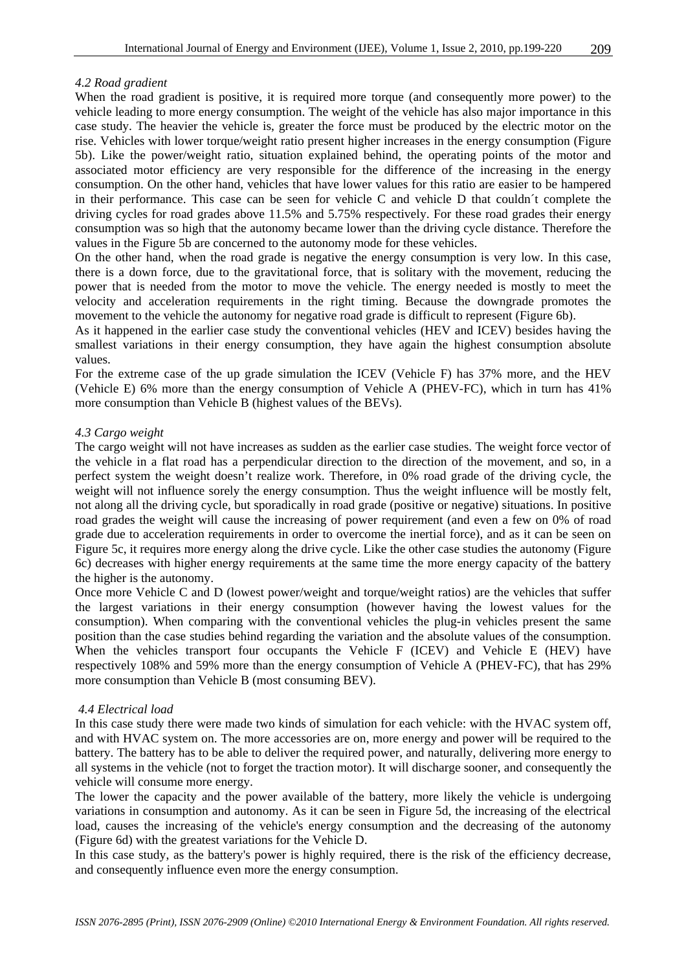#### *4.2 Road gradient*

When the road gradient is positive, it is required more torque (and consequently more power) to the vehicle leading to more energy consumption. The weight of the vehicle has also major importance in this case study. The heavier the vehicle is, greater the force must be produced by the electric motor on the rise. Vehicles with lower torque/weight ratio present higher increases in the energy consumption (Figure 5b). Like the power/weight ratio, situation explained behind, the operating points of the motor and associated motor efficiency are very responsible for the difference of the increasing in the energy consumption. On the other hand, vehicles that have lower values for this ratio are easier to be hampered in their performance. This case can be seen for vehicle C and vehicle D that couldn´t complete the driving cycles for road grades above 11.5% and 5.75% respectively. For these road grades their energy consumption was so high that the autonomy became lower than the driving cycle distance. Therefore the values in the Figure 5b are concerned to the autonomy mode for these vehicles.

On the other hand, when the road grade is negative the energy consumption is very low. In this case, there is a down force, due to the gravitational force, that is solitary with the movement, reducing the power that is needed from the motor to move the vehicle. The energy needed is mostly to meet the velocity and acceleration requirements in the right timing. Because the downgrade promotes the movement to the vehicle the autonomy for negative road grade is difficult to represent (Figure 6b).

As it happened in the earlier case study the conventional vehicles (HEV and ICEV) besides having the smallest variations in their energy consumption, they have again the highest consumption absolute values.

For the extreme case of the up grade simulation the ICEV (Vehicle F) has 37% more, and the HEV (Vehicle E) 6% more than the energy consumption of Vehicle A (PHEV-FC), which in turn has 41% more consumption than Vehicle B (highest values of the BEVs).

#### *4.3 Cargo weight*

The cargo weight will not have increases as sudden as the earlier case studies. The weight force vector of the vehicle in a flat road has a perpendicular direction to the direction of the movement, and so, in a perfect system the weight doesn't realize work. Therefore, in 0% road grade of the driving cycle, the weight will not influence sorely the energy consumption. Thus the weight influence will be mostly felt, not along all the driving cycle, but sporadically in road grade (positive or negative) situations. In positive road grades the weight will cause the increasing of power requirement (and even a few on 0% of road grade due to acceleration requirements in order to overcome the inertial force), and as it can be seen on Figure 5c, it requires more energy along the drive cycle. Like the other case studies the autonomy (Figure 6c) decreases with higher energy requirements at the same time the more energy capacity of the battery the higher is the autonomy.

Once more Vehicle C and D (lowest power/weight and torque/weight ratios) are the vehicles that suffer the largest variations in their energy consumption (however having the lowest values for the consumption). When comparing with the conventional vehicles the plug-in vehicles present the same position than the case studies behind regarding the variation and the absolute values of the consumption. When the vehicles transport four occupants the Vehicle F (ICEV) and Vehicle E (HEV) have respectively 108% and 59% more than the energy consumption of Vehicle A (PHEV-FC), that has 29% more consumption than Vehicle B (most consuming BEV).

#### *4.4 Electrical load*

In this case study there were made two kinds of simulation for each vehicle: with the HVAC system off, and with HVAC system on. The more accessories are on, more energy and power will be required to the battery. The battery has to be able to deliver the required power, and naturally, delivering more energy to all systems in the vehicle (not to forget the traction motor). It will discharge sooner, and consequently the vehicle will consume more energy.

The lower the capacity and the power available of the battery, more likely the vehicle is undergoing variations in consumption and autonomy. As it can be seen in Figure 5d, the increasing of the electrical load, causes the increasing of the vehicle's energy consumption and the decreasing of the autonomy (Figure 6d) with the greatest variations for the Vehicle D.

In this case study, as the battery's power is highly required, there is the risk of the efficiency decrease, and consequently influence even more the energy consumption.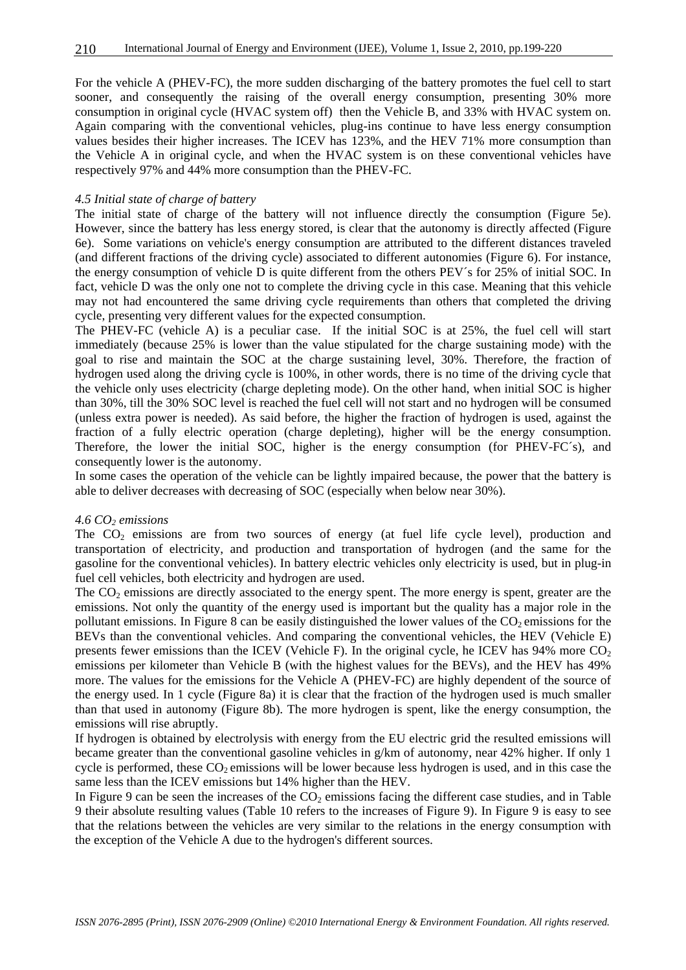For the vehicle A (PHEV-FC), the more sudden discharging of the battery promotes the fuel cell to start sooner, and consequently the raising of the overall energy consumption, presenting 30% more consumption in original cycle (HVAC system off) then the Vehicle B, and 33% with HVAC system on. Again comparing with the conventional vehicles, plug-ins continue to have less energy consumption values besides their higher increases. The ICEV has 123%, and the HEV 71% more consumption than the Vehicle A in original cycle, and when the HVAC system is on these conventional vehicles have respectively 97% and 44% more consumption than the PHEV-FC.

#### *4.5 Initial state of charge of battery*

The initial state of charge of the battery will not influence directly the consumption (Figure 5e). However, since the battery has less energy stored, is clear that the autonomy is directly affected (Figure 6e). Some variations on vehicle's energy consumption are attributed to the different distances traveled (and different fractions of the driving cycle) associated to different autonomies (Figure 6). For instance, the energy consumption of vehicle D is quite different from the others PEV´s for 25% of initial SOC. In fact, vehicle D was the only one not to complete the driving cycle in this case. Meaning that this vehicle may not had encountered the same driving cycle requirements than others that completed the driving cycle, presenting very different values for the expected consumption.

The PHEV-FC (vehicle A) is a peculiar case. If the initial SOC is at 25%, the fuel cell will start immediately (because 25% is lower than the value stipulated for the charge sustaining mode) with the goal to rise and maintain the SOC at the charge sustaining level, 30%. Therefore, the fraction of hydrogen used along the driving cycle is 100%, in other words, there is no time of the driving cycle that the vehicle only uses electricity (charge depleting mode). On the other hand, when initial SOC is higher than 30%, till the 30% SOC level is reached the fuel cell will not start and no hydrogen will be consumed (unless extra power is needed). As said before, the higher the fraction of hydrogen is used, against the fraction of a fully electric operation (charge depleting), higher will be the energy consumption. Therefore, the lower the initial SOC, higher is the energy consumption (for PHEV-FC´s), and consequently lower is the autonomy.

In some cases the operation of the vehicle can be lightly impaired because, the power that the battery is able to deliver decreases with decreasing of SOC (especially when below near 30%).

#### 4.6 CO<sub>2</sub> emissions

The  $CO<sub>2</sub>$  emissions are from two sources of energy (at fuel life cycle level), production and transportation of electricity, and production and transportation of hydrogen (and the same for the gasoline for the conventional vehicles). In battery electric vehicles only electricity is used, but in plug-in fuel cell vehicles, both electricity and hydrogen are used.

The  $CO<sub>2</sub>$  emissions are directly associated to the energy spent. The more energy is spent, greater are the emissions. Not only the quantity of the energy used is important but the quality has a major role in the pollutant emissions. In Figure 8 can be easily distinguished the lower values of the  $CO<sub>2</sub>$  emissions for the BEVs than the conventional vehicles. And comparing the conventional vehicles, the HEV (Vehicle E) presents fewer emissions than the ICEV (Vehicle F). In the original cycle, he ICEV has  $94\%$  more CO<sub>2</sub> emissions per kilometer than Vehicle B (with the highest values for the BEVs), and the HEV has 49% more. The values for the emissions for the Vehicle A (PHEV-FC) are highly dependent of the source of the energy used. In 1 cycle (Figure 8a) it is clear that the fraction of the hydrogen used is much smaller than that used in autonomy (Figure 8b). The more hydrogen is spent, like the energy consumption, the emissions will rise abruptly.

If hydrogen is obtained by electrolysis with energy from the EU electric grid the resulted emissions will became greater than the conventional gasoline vehicles in g/km of autonomy, near 42% higher. If only 1 cycle is performed, these  $CO<sub>2</sub>$  emissions will be lower because less hydrogen is used, and in this case the same less than the ICEV emissions but 14% higher than the HEV.

In Figure 9 can be seen the increases of the  $CO<sub>2</sub>$  emissions facing the different case studies, and in Table 9 their absolute resulting values (Table 10 refers to the increases of Figure 9). In Figure 9 is easy to see that the relations between the vehicles are very similar to the relations in the energy consumption with the exception of the Vehicle A due to the hydrogen's different sources.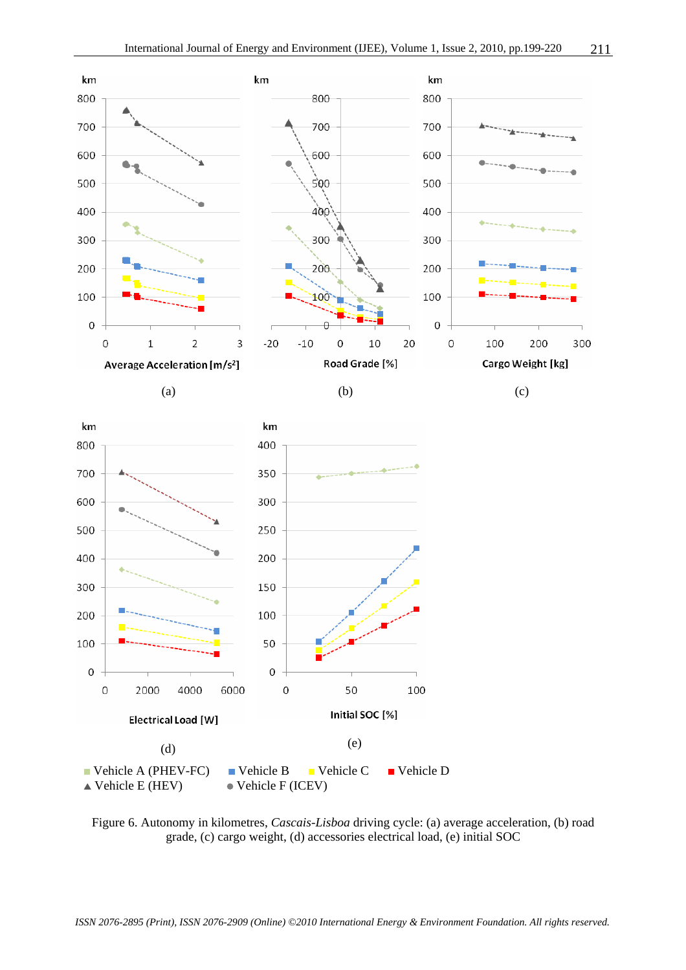

Figure 6. Autonomy in kilometres, *Cascais-Lisboa* driving cycle: (a) average acceleration, (b) road grade, (c) cargo weight, (d) accessories electrical load, (e) initial SOC

*ISSN 2076-2895 (Print), ISSN 2076-2909 (Online) ©2010 International Energy & Environment Foundation. All rights reserved.*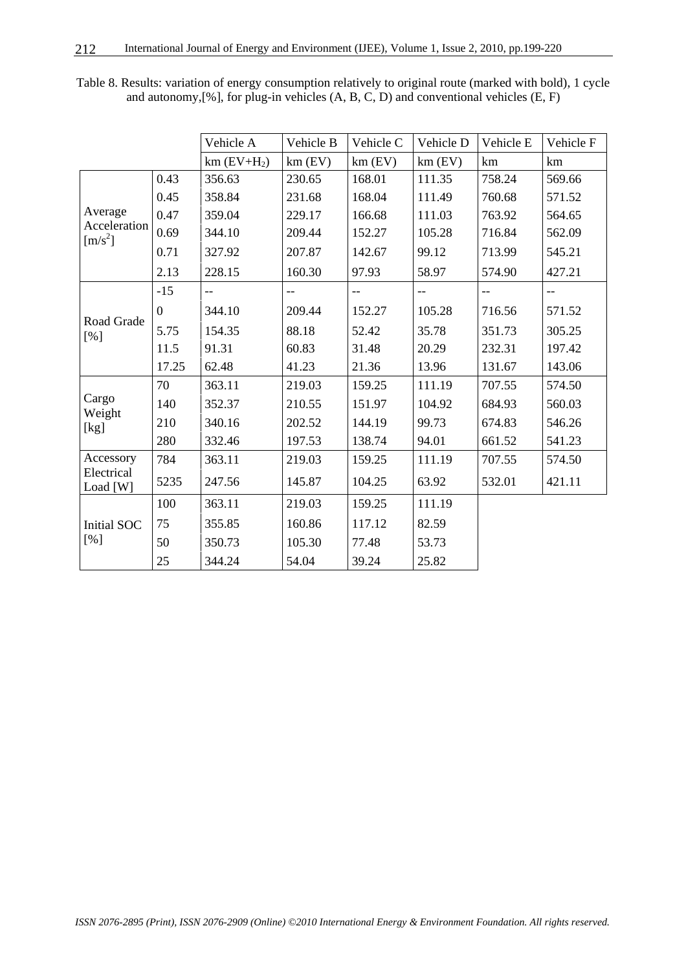|                           |                | Vehicle A                 | Vehicle B | Vehicle C | Vehicle D | Vehicle E | Vehicle F                |
|---------------------------|----------------|---------------------------|-----------|-----------|-----------|-----------|--------------------------|
|                           |                |                           |           |           |           |           |                          |
|                           |                | $km$ (EV+H <sub>2</sub> ) | $km$ (EV) | $km$ (EV) | $km$ (EV) | km        | km                       |
|                           | 0.43           | 356.63                    | 230.65    | 168.01    | 111.35    | 758.24    | 569.66                   |
|                           | 0.45           | 358.84                    | 231.68    | 168.04    | 111.49    | 760.68    | 571.52                   |
| Average                   | 0.47           | 359.04                    | 229.17    | 166.68    | 111.03    | 763.92    | 564.65                   |
| Acceleration<br>$[m/s^2]$ | 0.69           | 344.10                    | 209.44    | 152.27    | 105.28    | 716.84    | 562.09                   |
|                           | 0.71           | 327.92                    | 207.87    | 142.67    | 99.12     | 713.99    | 545.21                   |
|                           | 2.13           | 228.15                    | 160.30    | 97.93     | 58.97     | 574.90    | 427.21                   |
|                           | $-15$          | $\overline{\phantom{a}}$  | $-$       | $-$       | $-$       | $-$       | $\overline{\phantom{m}}$ |
|                           | $\overline{0}$ | 344.10                    | 209.44    | 152.27    | 105.28    | 716.56    | 571.52                   |
| Road Grade<br>[%]         | 5.75           | 154.35                    | 88.18     | 52.42     | 35.78     | 351.73    | 305.25                   |
|                           | 11.5           | 91.31                     | 60.83     | 31.48     | 20.29     | 232.31    | 197.42                   |
|                           | 17.25          | 62.48                     | 41.23     | 21.36     | 13.96     | 131.67    | 143.06                   |
|                           | 70             | 363.11                    | 219.03    | 159.25    | 111.19    | 707.55    | 574.50                   |
| Cargo<br>Weight           | 140            | 352.37                    | 210.55    | 151.97    | 104.92    | 684.93    | 560.03                   |
| [kg]                      | 210            | 340.16                    | 202.52    | 144.19    | 99.73     | 674.83    | 546.26                   |
|                           | 280            | 332.46                    | 197.53    | 138.74    | 94.01     | 661.52    | 541.23                   |
| Accessory                 | 784            | 363.11                    | 219.03    | 159.25    | 111.19    | 707.55    | 574.50                   |
| Electrical<br>Load [W]    | 5235           | 247.56                    | 145.87    | 104.25    | 63.92     | 532.01    | 421.11                   |
|                           | 100            | 363.11                    | 219.03    | 159.25    | 111.19    |           |                          |
| <b>Initial SOC</b>        | 75             | 355.85                    | 160.86    | 117.12    | 82.59     |           |                          |
| [%]                       | 50             | 350.73                    | 105.30    | 77.48     | 53.73     |           |                          |
|                           | 25             | 344.24                    | 54.04     | 39.24     | 25.82     |           |                          |

Table 8. Results: variation of energy consumption relatively to original route (marked with bold), 1 cycle and autonomy,[%], for plug-in vehicles (A, B, C, D) and conventional vehicles (E, F)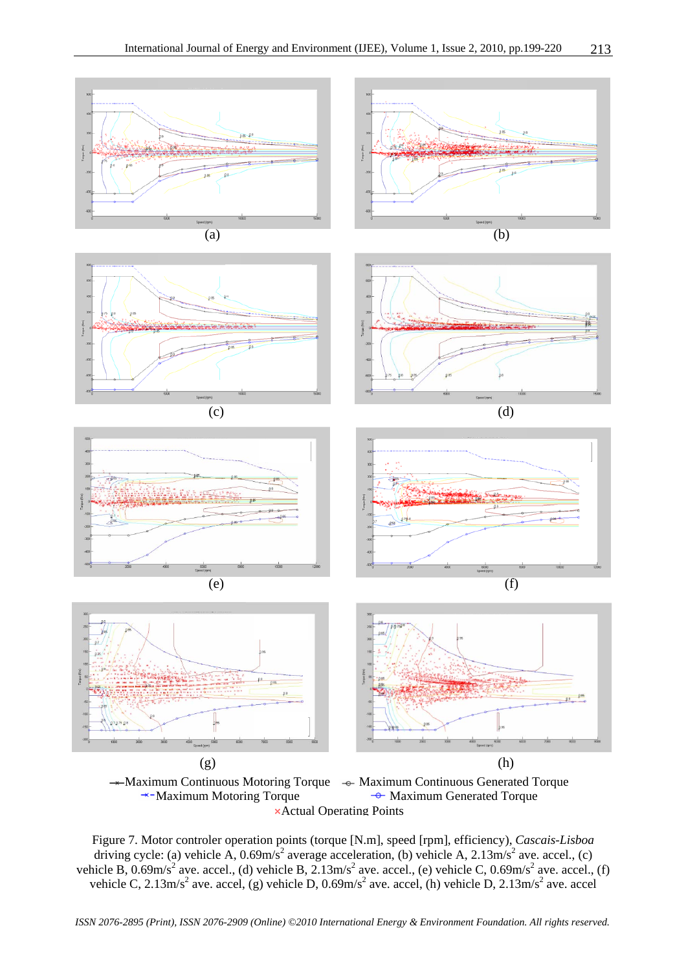



Figure 7. Motor controler operation points (torque [N.m], speed [rpm], efficiency), *Cascais-Lisboa* driving cycle: (a) vehicle A,  $0.69 \text{m/s}^2$  average acceleration, (b) vehicle A,  $2.13 \text{m/s}^2$  ave. accel., (c) vehicle B,  $0.69 \text{m/s}^2$  ave. accel., (d) vehicle B,  $2.13 \text{m/s}^2$  ave. accel., (e) vehicle C,  $0.69 \text{m/s}^2$  ave. accel., (f) vehicle C, 2.13m/s<sup>2</sup> ave. accel, (g) vehicle D,  $0.69$ m/s<sup>2</sup> ave. accel, (h) vehicle D, 2.13m/s<sup>2</sup> ave. accel

*ISSN 2076-2895 (Print), ISSN 2076-2909 (Online) ©2010 International Energy & Environment Foundation. All rights reserved.*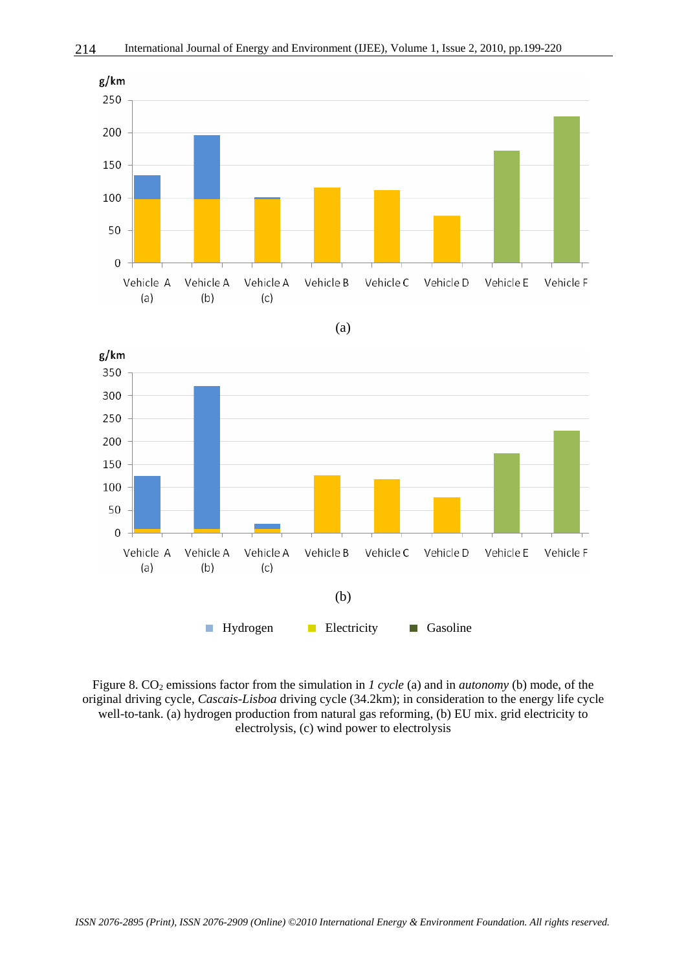





Figure 8. CO<sub>2</sub> emissions factor from the simulation in *1 cycle* (a) and in *autonomy* (b) mode, of the original driving cycle, *Cascais-Lisboa* driving cycle (34.2km); in consideration to the energy life cycle well-to-tank. (a) hydrogen production from natural gas reforming, (b) EU mix. grid electricity to electrolysis, (c) wind power to electrolysis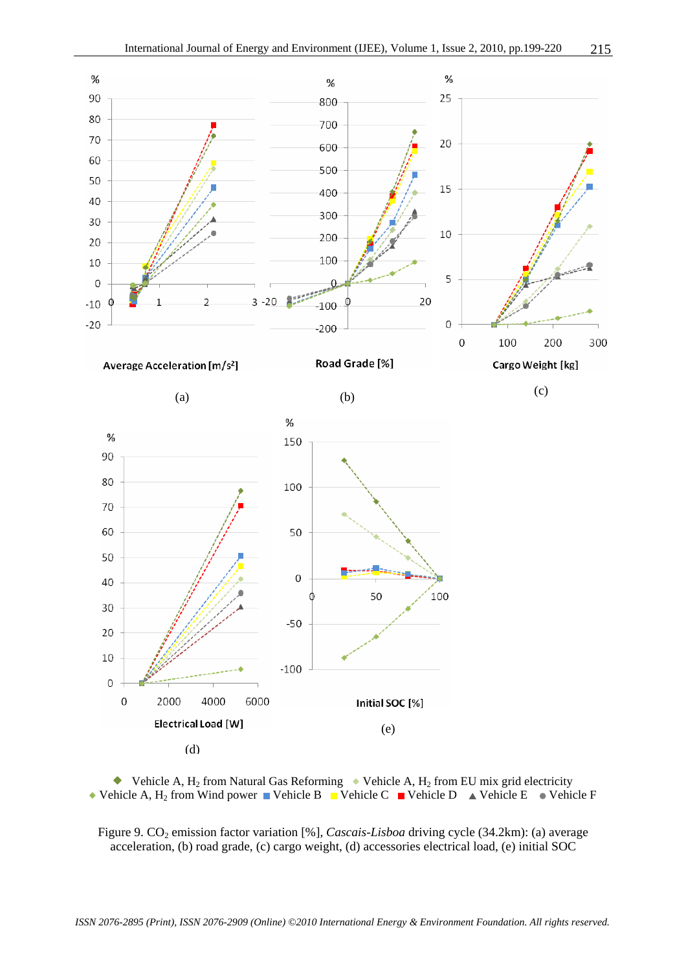



Figure 9. CO<sub>2</sub> emission factor variation [%], *Cascais-Lisboa* driving cycle (34.2km): (a) average acceleration, (b) road grade, (c) cargo weight, (d) accessories electrical load, (e) initial SOC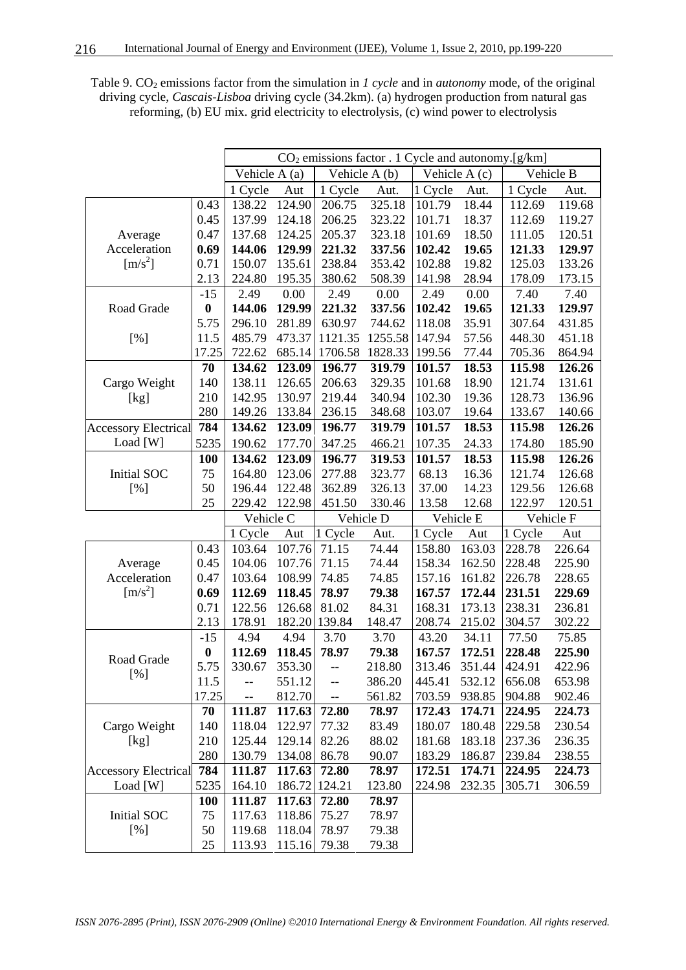| Table 9. $CO2$ emissions factor from the simulation in 1 cycle and in <i>autonomy</i> mode, of the original |
|-------------------------------------------------------------------------------------------------------------|
| driving cycle, <i>Cascais-Lisboa</i> driving cycle (34.2km). (a) hydrogen production from natural gas       |
| reforming, (b) EU mix. grid electricity to electrolysis, (c) wind power to electrolysis                     |

|                             |                  |               |        |         | $CO2$ emissions factor . 1 Cycle and autonomy.[g/km] |         |               |         |           |
|-----------------------------|------------------|---------------|--------|---------|------------------------------------------------------|---------|---------------|---------|-----------|
|                             |                  | Vehicle A (a) |        |         | Vehicle A (b)                                        |         | Vehicle A (c) |         | Vehicle B |
|                             |                  | 1 Cycle       | Aut    | 1 Cycle | Aut.                                                 | 1 Cycle | Aut.          | 1 Cycle | Aut.      |
|                             | 0.43             | 138.22        | 124.90 | 206.75  | 325.18                                               | 101.79  | 18.44         | 112.69  | 119.68    |
|                             | 0.45             | 137.99        | 124.18 | 206.25  | 323.22                                               | 101.71  | 18.37         | 112.69  | 119.27    |
| Average                     | 0.47             | 137.68        | 124.25 | 205.37  | 323.18                                               | 101.69  | 18.50         | 111.05  | 120.51    |
| Acceleration                | 0.69             | 144.06        | 129.99 | 221.32  | 337.56                                               | 102.42  | 19.65         | 121.33  | 129.97    |
| $[m/s^2]$                   | 0.71             | 150.07        | 135.61 | 238.84  | 353.42                                               | 102.88  | 19.82         | 125.03  | 133.26    |
|                             | 2.13             | 224.80        | 195.35 | 380.62  | 508.39                                               | 141.98  | 28.94         | 178.09  | 173.15    |
|                             | $-15$            | 2.49          | 0.00   | 2.49    | 0.00                                                 | 2.49    | 0.00          | 7.40    | 7.40      |
| Road Grade                  | $\boldsymbol{0}$ | 144.06        | 129.99 | 221.32  | 337.56                                               | 102.42  | 19.65         | 121.33  | 129.97    |
|                             | 5.75             | 296.10        | 281.89 | 630.97  | 744.62                                               | 118.08  | 35.91         | 307.64  | 431.85    |
| [%]                         | 11.5             | 485.79        | 473.37 | 1121.35 | 1255.58                                              | 147.94  | 57.56         | 448.30  | 451.18    |
|                             | 17.25            | 722.62        | 685.14 | 1706.58 | 1828.33                                              | 199.56  | 77.44         | 705.36  | 864.94    |
|                             | 70               | 134.62        | 123.09 | 196.77  | 319.79                                               | 101.57  | 18.53         | 115.98  | 126.26    |
| Cargo Weight                | 140              | 138.11        | 126.65 | 206.63  | 329.35                                               | 101.68  | 18.90         | 121.74  | 131.61    |
| [kg]                        | 210              | 142.95        | 130.97 | 219.44  | 340.94                                               | 102.30  | 19.36         | 128.73  | 136.96    |
|                             | 280              | 149.26        | 133.84 | 236.15  | 348.68                                               | 103.07  | 19.64         | 133.67  | 140.66    |
| <b>Accessory Electrical</b> | 784              | 134.62        | 123.09 | 196.77  | 319.79                                               | 101.57  | 18.53         | 115.98  | 126.26    |
| Load [W]                    | 5235             | 190.62        | 177.70 | 347.25  | 466.21                                               | 107.35  | 24.33         | 174.80  | 185.90    |
|                             | 100              | 134.62        | 123.09 | 196.77  | 319.53                                               | 101.57  | 18.53         | 115.98  | 126.26    |
| Initial SOC                 | 75               | 164.80        | 123.06 | 277.88  | 323.77                                               | 68.13   | 16.36         | 121.74  | 126.68    |
| [%]                         | 50               | 196.44        | 122.48 | 362.89  | 326.13                                               | 37.00   | 14.23         | 129.56  | 126.68    |
|                             | 25               | 229.42        | 122.98 | 451.50  | 330.46                                               | 13.58   | 12.68         | 122.97  | 120.51    |
|                             |                  | Vehicle C     |        |         | Vehicle D                                            |         | Vehicle E     |         | Vehicle F |
|                             |                  | 1 Cycle       | Aut    | 1 Cycle | Aut.                                                 | 1 Cycle | Aut           | 1 Cycle | Aut       |
|                             | 0.43             | 103.64        | 107.76 | 71.15   | 74.44                                                | 158.80  | 163.03        | 228.78  | 226.64    |
| Average                     | 0.45             | 104.06        | 107.76 | 71.15   | 74.44                                                | 158.34  | 162.50        | 228.48  | 225.90    |
| Acceleration                | 0.47             | 103.64        | 108.99 | 74.85   | 74.85                                                | 157.16  | 161.82        | 226.78  | 228.65    |
| $\left[\text{m/s}^2\right]$ | 0.69             | 112.69        | 118.45 | 78.97   | 79.38                                                | 167.57  | 172.44        | 231.51  | 229.69    |
|                             | 0.71             | 122.56        | 126.68 | 81.02   | 84.31                                                | 168.31  | 173.13        | 238.31  | 236.81    |
|                             | 2.13             | 178.91        | 182.20 | 139.84  | 148.47                                               | 208.74  | 215.02        | 304.57  | 302.22    |
|                             | $-15$            | 4.94          | 4.94   | 3.70    | 3.70                                                 | 43.20   | 34.11         | 77.50   | 75.85     |
| Road Grade                  | $\boldsymbol{0}$ | 112.69        | 118.45 | 78.97   | 79.38                                                | 167.57  | 172.51        | 228.48  | 225.90    |
| [%]                         | 5.75             | 330.67 353.30 |        | --      | 218.80                                               | 313.46  | 351.44        | 424.91  | 422.96    |
|                             | 11.5             |               | 551.12 | --      | 386.20                                               | 445.41  | 532.12        | 656.08  | 653.98    |
|                             | 17.25            | --            | 812.70 | --      | 561.82                                               | 703.59  | 938.85        | 904.88  | 902.46    |
|                             | 70               | 111.87        | 117.63 | 72.80   | 78.97                                                | 172.43  | 174.71        | 224.95  | 224.73    |
| Cargo Weight                | 140              | 118.04        | 122.97 | 77.32   | 83.49                                                | 180.07  | 180.48        | 229.58  | 230.54    |
| [kg]                        | 210              | 125.44        | 129.14 | 82.26   | 88.02                                                | 181.68  | 183.18        | 237.36  | 236.35    |
|                             | 280              | 130.79        | 134.08 | 86.78   | 90.07                                                | 183.29  | 186.87        | 239.84  | 238.55    |
| <b>Accessory Electrical</b> | 784              | 111.87        | 117.63 | 72.80   | 78.97                                                | 172.51  | 174.71        | 224.95  | 224.73    |
| Load $[W]$                  | 5235             | 164.10        | 186.72 | 124.21  | 123.80                                               | 224.98  | 232.35        | 305.71  | 306.59    |
|                             | <b>100</b>       | 111.87        | 117.63 | 72.80   | 78.97                                                |         |               |         |           |
| Initial SOC                 | 75               | 117.63        | 118.86 | 75.27   | 78.97                                                |         |               |         |           |
| [%]                         | 50               | 119.68        | 118.04 | 78.97   | 79.38                                                |         |               |         |           |
|                             | 25               | 113.93        | 115.16 | 79.38   | 79.38                                                |         |               |         |           |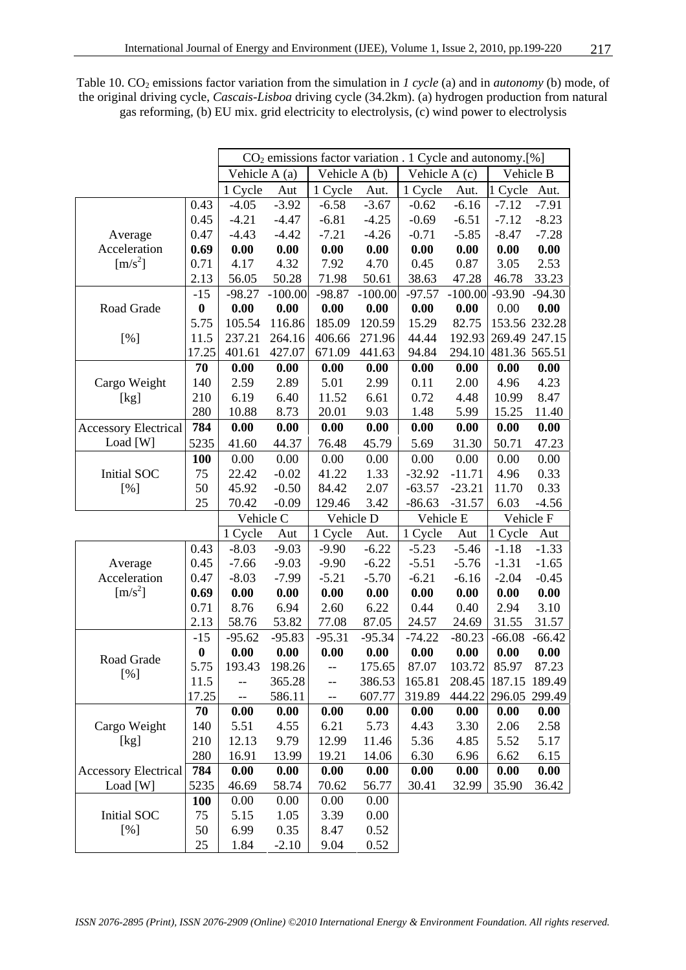|                             |                  | $CO2$ emissions factor variation . 1 Cycle and autonomy.[%] |           |               |           |               |           |               |               |
|-----------------------------|------------------|-------------------------------------------------------------|-----------|---------------|-----------|---------------|-----------|---------------|---------------|
|                             |                  | Vehicle A (a)                                               |           | Vehicle A (b) |           | Vehicle A (c) |           | Vehicle B     |               |
|                             |                  | 1 Cycle                                                     | Aut       | 1 Cycle       | Aut.      | 1 Cycle       | Aut.      | 1 Cycle       | Aut.          |
|                             | 0.43             | $-4.05$                                                     | $-3.92$   | $-6.58$       | $-3.67$   | $-0.62$       | $-6.16$   | $-7.12$       | $-7.91$       |
|                             | 0.45             | $-4.21$                                                     | $-4.47$   | $-6.81$       | $-4.25$   | $-0.69$       | $-6.51$   | $-7.12$       | $-8.23$       |
| Average                     | 0.47             | $-4.43$                                                     | $-4.42$   | $-7.21$       | $-4.26$   | $-0.71$       | $-5.85$   | $-8.47$       | $-7.28$       |
| Acceleration                | 0.69             | 0.00                                                        | 0.00      | 0.00          | 0.00      | 0.00          | 0.00      | 0.00          | 0.00          |
| $\left[\text{m/s}^2\right]$ | 0.71             | 4.17                                                        | 4.32      | 7.92          | 4.70      | 0.45          | 0.87      | 3.05          | 2.53          |
|                             | 2.13             | 56.05                                                       | 50.28     | 71.98         | 50.61     | 38.63         | 47.28     | 46.78         | 33.23         |
|                             | $-15$            | $-98.27$                                                    | $-100.00$ | $-98.87$      | $-100.00$ | $-97.57$      | $-100.00$ | $-93.90$      | $-94.30$      |
| Road Grade                  | $\boldsymbol{0}$ | 0.00                                                        | 0.00      | 0.00          | 0.00      | 0.00          | 0.00      | 0.00          | 0.00          |
|                             | 5.75             | 105.54                                                      | 116.86    | 185.09        | 120.59    | 15.29         | 82.75     |               | 153.56 232.28 |
| [%]                         | 11.5             | 237.21                                                      | 264.16    | 406.66        | 271.96    | 44.44         | 192.93    |               | 269.49 247.15 |
|                             | 17.25            | 401.61                                                      | 427.07    | 671.09        | 441.63    | 94.84         | 294.10    | 481.36 565.51 |               |
|                             | 70               | 0.00                                                        | 0.00      | 0.00          | 0.00      | 0.00          | 0.00      | 0.00          | 0.00          |
| Cargo Weight                | 140              | 2.59                                                        | 2.89      | 5.01          | 2.99      | 0.11          | 2.00      | 4.96          | 4.23          |
| [kg]                        | 210              | 6.19                                                        | 6.40      | 11.52         | 6.61      | 0.72          | 4.48      | 10.99         | 8.47          |
|                             | 280              | 10.88                                                       | 8.73      | 20.01         | 9.03      | 1.48          | 5.99      | 15.25         | 11.40         |
| <b>Accessory Electrical</b> | 784              | 0.00                                                        | 0.00      | 0.00          | 0.00      | 0.00          | 0.00      | 0.00          | 0.00          |
| Load [W]                    | 5235             | 41.60                                                       | 44.37     | 76.48         | 45.79     | 5.69          | 31.30     | 50.71         | 47.23         |
|                             | <b>100</b>       | 0.00                                                        | 0.00      | 0.00          | 0.00      | 0.00          | 0.00      | 0.00          | 0.00          |
| <b>Initial SOC</b>          | 75               | 22.42                                                       | $-0.02$   | 41.22         | 1.33      | $-32.92$      | $-11.71$  | 4.96          | 0.33          |
| [%]                         | 50               | 45.92                                                       | $-0.50$   | 84.42         | 2.07      | $-63.57$      | $-23.21$  | 11.70         | 0.33          |
|                             | 25               | 70.42                                                       | $-0.09$   | 129.46        | 3.42      | $-86.63$      | $-31.57$  | 6.03          | $-4.56$       |
|                             |                  | Vehicle C                                                   |           | Vehicle D     |           | Vehicle E     |           | Vehicle F     |               |
|                             |                  | 1 Cycle                                                     | Aut       | 1 Cycle       | Aut.      | 1 Cycle       | Aut       | 1 Cycle       | Aut           |
|                             | 0.43             | $-8.03$                                                     | $-9.03$   | $-9.90$       | $-6.22$   | $-5.23$       | $-5.46$   | $-1.18$       | $-1.33$       |
| Average                     | 0.45             | $-7.66$                                                     | $-9.03$   | $-9.90$       | $-6.22$   | $-5.51$       | $-5.76$   | $-1.31$       | $-1.65$       |
| Acceleration                | 0.47             | $-8.03$                                                     | $-7.99$   | $-5.21$       | $-5.70$   | $-6.21$       | $-6.16$   | $-2.04$       | $-0.45$       |
| $[m/s^2]$                   | 0.69             | 0.00                                                        | 0.00      | 0.00          | 0.00      | 0.00          | 0.00      | 0.00          | 0.00          |
|                             | 0.71             | 8.76                                                        | 6.94      | 2.60          | 6.22      | 0.44          | 0.40      | 2.94          | 3.10          |
|                             | 2.13             | 58.76                                                       | 53.82     | 77.08         | 87.05     | 24.57         | 24.69     | 31.55         | 31.57         |
|                             | $-15$            | $-95.62$                                                    | $-95.83$  | $-95.31$      | $-95.34$  | $-74.22$      | $-80.23$  | $-66.08$      | $-66.42$      |
| Road Grade                  | $\bf{0}$         | 0.00                                                        | 0.00      | 0.00          | 0.00      | 0.00          | 0.00      | 0.00          | 0.00          |
|                             | 5.75             | 193.43                                                      | 198.26    | --            | 175.65    | 87.07         | 103.72    | 85.97         | 87.23         |
| [%]                         | 11.5             |                                                             | 365.28    | --            | 386.53    | 165.81        | 208.45    |               | 187.15 189.49 |
|                             | 17.25            | --                                                          | 586.11    | --            | 607.77    | 319.89        |           | 444.22 296.05 | 299.49        |
|                             | 70               | 0.00                                                        | 0.00      | 0.00          | 0.00      | 0.00          | 0.00      | 0.00          | 0.00          |
| Cargo Weight                | 140              | 5.51                                                        | 4.55      | 6.21          | 5.73      | 4.43          | 3.30      | 2.06          | 2.58          |
| [kg]                        | 210              | 12.13                                                       | 9.79      | 12.99         | 11.46     | 5.36          | 4.85      | 5.52          | 5.17          |
|                             | 280              | 16.91                                                       | 13.99     | 19.21         | 14.06     | 6.30          | 6.96      | 6.62          | 6.15          |
| <b>Accessory Electrical</b> | 784              | 0.00                                                        | 0.00      | 0.00          | 0.00      | 0.00          | 0.00      | 0.00          | 0.00          |
| Load [W]                    | 5235             | 46.69                                                       | 58.74     | 70.62         | 56.77     | 30.41         | 32.99     | 35.90         | 36.42         |
|                             | <b>100</b>       | 0.00                                                        | 0.00      | 0.00          | 0.00      |               |           |               |               |
| Initial SOC                 | 75               | 5.15                                                        | 1.05      | 3.39          | 0.00      |               |           |               |               |
| [%]                         | 50               | 6.99                                                        | 0.35      | 8.47          | 0.52      |               |           |               |               |
|                             | 25               | 1.84                                                        | $-2.10$   | 9.04          | 0.52      |               |           |               |               |

Table 10. CO<sub>2</sub> emissions factor variation from the simulation in *1 cycle* (a) and in *autonomy* (b) mode, of the original driving cycle, *Cascais-Lisboa* driving cycle (34.2km). (a) hydrogen production from natural gas reforming, (b) EU mix. grid electricity to electrolysis, (c) wind power to electrolysis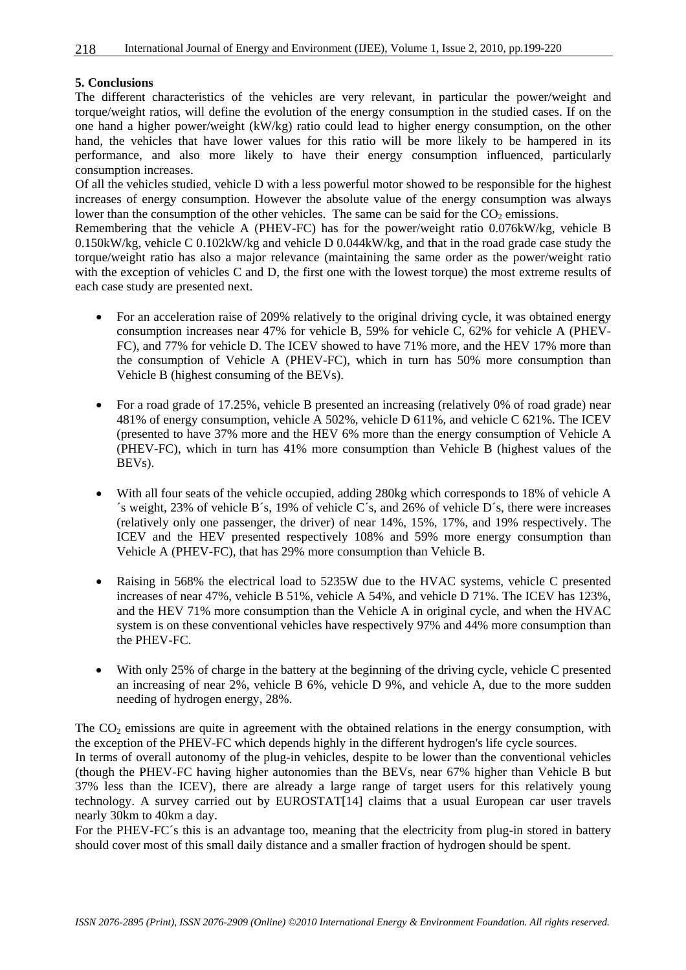#### **5. Conclusions**

The different characteristics of the vehicles are very relevant, in particular the power/weight and torque/weight ratios, will define the evolution of the energy consumption in the studied cases. If on the one hand a higher power/weight (kW/kg) ratio could lead to higher energy consumption, on the other hand, the vehicles that have lower values for this ratio will be more likely to be hampered in its performance, and also more likely to have their energy consumption influenced, particularly consumption increases.

Of all the vehicles studied, vehicle D with a less powerful motor showed to be responsible for the highest increases of energy consumption. However the absolute value of the energy consumption was always lower than the consumption of the other vehicles. The same can be said for the  $CO<sub>2</sub>$  emissions.

Remembering that the vehicle A (PHEV-FC) has for the power/weight ratio 0.076kW/kg, vehicle B 0.150kW/kg, vehicle C 0.102kW/kg and vehicle D 0.044kW/kg, and that in the road grade case study the torque/weight ratio has also a major relevance (maintaining the same order as the power/weight ratio with the exception of vehicles C and D, the first one with the lowest torque) the most extreme results of each case study are presented next.

- For an acceleration raise of 209% relatively to the original driving cycle, it was obtained energy consumption increases near 47% for vehicle B, 59% for vehicle C, 62% for vehicle A (PHEV-FC), and 77% for vehicle D. The ICEV showed to have 71% more, and the HEV 17% more than the consumption of Vehicle A (PHEV-FC), which in turn has 50% more consumption than Vehicle B (highest consuming of the BEVs).
- For a road grade of 17.25%, vehicle B presented an increasing (relatively 0% of road grade) near 481% of energy consumption, vehicle A 502%, vehicle D 611%, and vehicle C 621%. The ICEV (presented to have 37% more and the HEV 6% more than the energy consumption of Vehicle A (PHEV-FC), which in turn has 41% more consumption than Vehicle B (highest values of the BEVs).
- With all four seats of the vehicle occupied, adding 280kg which corresponds to 18% of vehicle A ´s weight, 23% of vehicle B´s, 19% of vehicle C´s, and 26% of vehicle D´s, there were increases (relatively only one passenger, the driver) of near 14%, 15%, 17%, and 19% respectively. The ICEV and the HEV presented respectively 108% and 59% more energy consumption than Vehicle A (PHEV-FC), that has 29% more consumption than Vehicle B.
- Raising in 568% the electrical load to 5235W due to the HVAC systems, vehicle C presented increases of near 47%, vehicle B 51%, vehicle A 54%, and vehicle D 71%. The ICEV has 123%, and the HEV 71% more consumption than the Vehicle A in original cycle, and when the HVAC system is on these conventional vehicles have respectively 97% and 44% more consumption than the PHEV-FC.
- With only 25% of charge in the battery at the beginning of the driving cycle, vehicle C presented an increasing of near 2%, vehicle B 6%, vehicle D 9%, and vehicle A, due to the more sudden needing of hydrogen energy, 28%.

The  $CO<sub>2</sub>$  emissions are quite in agreement with the obtained relations in the energy consumption, with the exception of the PHEV-FC which depends highly in the different hydrogen's life cycle sources. In terms of overall autonomy of the plug-in vehicles, despite to be lower than the conventional vehicles (though the PHEV-FC having higher autonomies than the BEVs, near 67% higher than Vehicle B but 37% less than the ICEV), there are already a large range of target users for this relatively young technology. A survey carried out by EUROSTAT[14] claims that a usual European car user travels nearly 30km to 40km a day.

For the PHEV-FC's this is an advantage too, meaning that the electricity from plug-in stored in battery should cover most of this small daily distance and a smaller fraction of hydrogen should be spent.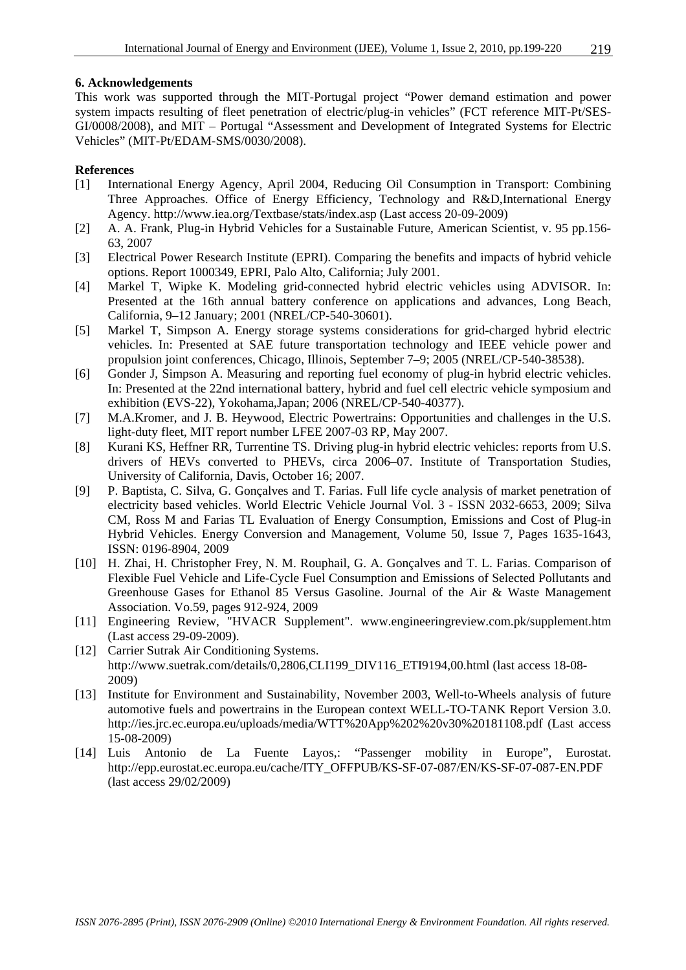#### **6. Acknowledgements**

This work was supported through the MIT-Portugal project "Power demand estimation and power system impacts resulting of fleet penetration of electric/plug-in vehicles" (FCT reference MIT-Pt/SES-GI/0008/2008), and MIT – Portugal "Assessment and Development of Integrated Systems for Electric Vehicles" (MIT-Pt/EDAM-SMS/0030/2008).

#### **References**

- [1] International Energy Agency, April 2004, Reducing Oil Consumption in Transport: Combining Three Approaches. Office of Energy Efficiency, Technology and R&D,International Energy Agency. http://www.iea.org/Textbase/stats/index.asp (Last access 20-09-2009)
- [2] A. A. Frank, Plug-in Hybrid Vehicles for a Sustainable Future, American Scientist, v. 95 pp.156- 63, 2007
- [3] Electrical Power Research Institute (EPRI). Comparing the benefits and impacts of hybrid vehicle options. Report 1000349, EPRI, Palo Alto, California; July 2001.
- [4] Markel T, Wipke K. Modeling grid-connected hybrid electric vehicles using ADVISOR. In: Presented at the 16th annual battery conference on applications and advances, Long Beach, California, 9–12 January; 2001 (NREL/CP-540-30601).
- [5] Markel T, Simpson A. Energy storage systems considerations for grid-charged hybrid electric vehicles. In: Presented at SAE future transportation technology and IEEE vehicle power and propulsion joint conferences, Chicago, Illinois, September 7–9; 2005 (NREL/CP-540-38538).
- [6] Gonder J, Simpson A. Measuring and reporting fuel economy of plug-in hybrid electric vehicles. In: Presented at the 22nd international battery, hybrid and fuel cell electric vehicle symposium and exhibition (EVS-22), Yokohama,Japan; 2006 (NREL/CP-540-40377).
- [7] M.A.Kromer, and J. B. Heywood, Electric Powertrains: Opportunities and challenges in the U.S. light-duty fleet, MIT report number LFEE 2007-03 RP, May 2007.
- [8] Kurani KS, Heffner RR, Turrentine TS. Driving plug-in hybrid electric vehicles: reports from U.S. drivers of HEVs converted to PHEVs, circa 2006–07. Institute of Transportation Studies, University of California, Davis, October 16; 2007.
- [9] P. Baptista, C. Silva, G. Gonçalves and T. Farias. Full life cycle analysis of market penetration of electricity based vehicles. World Electric Vehicle Journal Vol. 3 - ISSN 2032-6653, 2009; Silva CM, Ross M and Farias TL Evaluation of Energy Consumption, Emissions and Cost of Plug-in Hybrid Vehicles. Energy Conversion and Management, Volume 50, Issue 7, Pages 1635-1643, ISSN: 0196-8904, 2009
- [10] H. Zhai, H. Christopher Frey, N. M. Rouphail, G. A. Gonçalves and T. L. Farias. Comparison of Flexible Fuel Vehicle and Life-Cycle Fuel Consumption and Emissions of Selected Pollutants and Greenhouse Gases for Ethanol 85 Versus Gasoline. Journal of the Air & Waste Management Association. Vo.59, pages 912-924, 2009
- [11] Engineering Review, "HVACR Supplement". www.engineeringreview.com.pk/supplement.htm (Last access 29-09-2009).
- [12] Carrier Sutrak Air Conditioning Systems. http://www.suetrak.com/details/0,2806,CLI199\_DIV116\_ETI9194,00.html (last access 18-08- 2009)
- [13] Institute for Environment and Sustainability, November 2003, Well-to-Wheels analysis of future automotive fuels and powertrains in the European context WELL-TO-TANK Report Version 3.0. http://ies.jrc.ec.europa.eu/uploads/media/WTT%20App%202%20v30%20181108.pdf (Last access 15-08-2009)
- [14] Luis Antonio de La Fuente Layos,: "Passenger mobility in Europe", Eurostat. http://epp.eurostat.ec.europa.eu/cache/ITY\_OFFPUB/KS-SF-07-087/EN/KS-SF-07-087-EN.PDF (last access 29/02/2009)